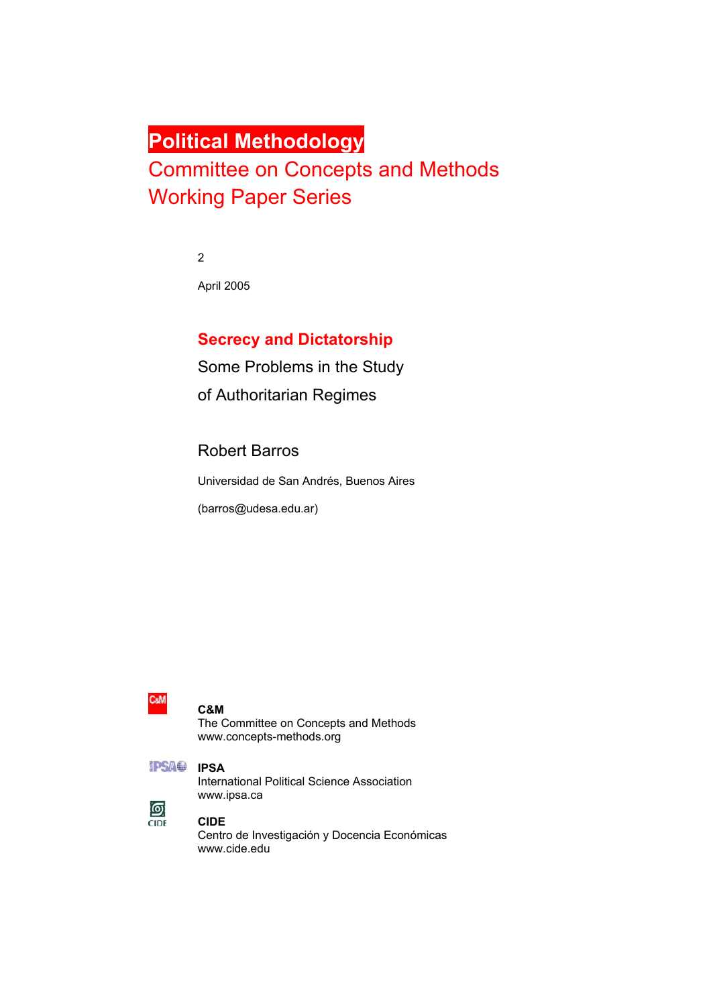# **Political Methodology**

# Committee on Concepts and Methods Working Paper Series

2

April 2005

# **Secrecy and Dictatorship**

Some Problems in the Study of Authoritarian Regimes

Robert Barros

Universidad de San Andrés, Buenos Aires

(barros@udesa.edu.ar)



#### **C&M**

The Committee on Concepts and Methods www.concepts-methods.org

| - | . . | - -<br>٦<br>ı |  |
|---|-----|---------------|--|
|   |     |               |  |
|   |     |               |  |

#### **IPSA**

International Political Science Association www.ipsa.ca



#### **CIDE**

Centro de Investigación y Docencia Económicas www.cide.edu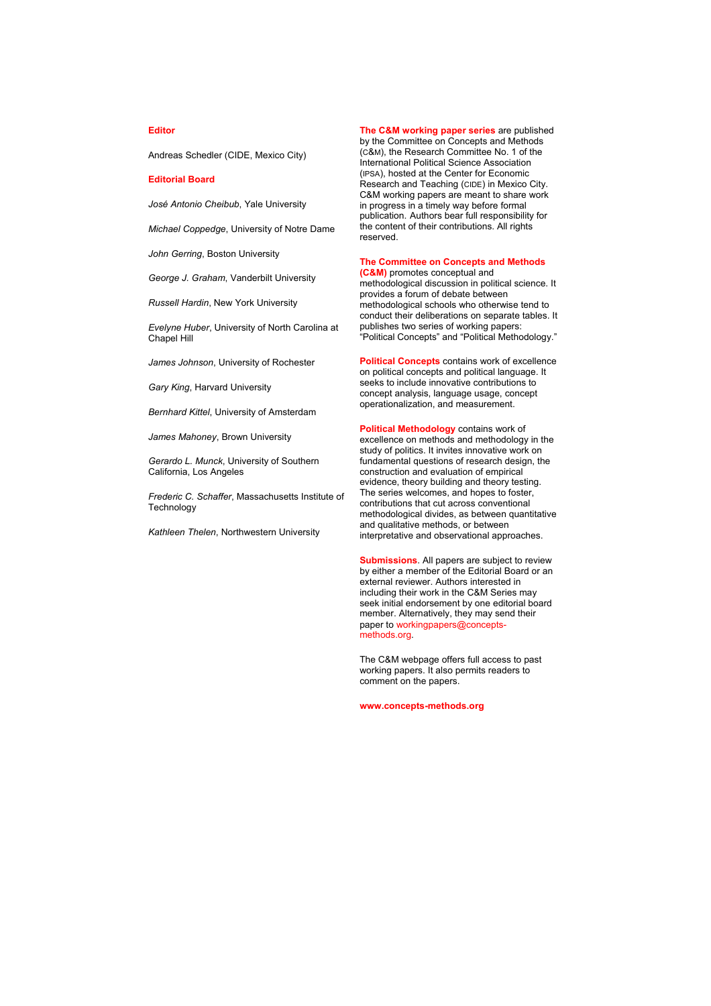#### **Editor**

Andreas Schedler (CIDE, Mexico City)

#### **Editorial Board**

*José Antonio Cheibub*, Yale University

*Michael Coppedge*, University of Notre Dame

*John Gerring*, Boston University

*George J. Graham*, Vanderbilt University

*Russell Hardin*, New York University

*Evelyne Huber*, University of North Carolina at Chapel Hill

*James Johnson*, University of Rochester

*Gary King*, Harvard University

*Bernhard Kittel*, University of Amsterdam

*James Mahoney*, Brown University

*Gerardo L. Munck*, University of Southern California, Los Angeles

*Frederic C. Schaffer*, Massachusetts Institute of Technology

*Kathleen Thelen*, Northwestern University

**The C&M working paper series** are published by the Committee on Concepts and Methods (C&M), the Research Committee No. 1 of the International Political Science Association (IPSA), hosted at the Center for Economic Research and Teaching (CIDE) in Mexico City. C&M working papers are meant to share work in progress in a timely way before formal publication. Authors bear full responsibility for the content of their contributions. All rights reserved.

#### **The Committee on Concepts and Methods (C&M)** promotes conceptual and

methodological discussion in political science. It provides a forum of debate between methodological schools who otherwise tend to conduct their deliberations on separate tables. It publishes two series of working papers: "Political Concepts" and "Political Methodology."

**Political Concepts** contains work of excellence on political concepts and political language. It seeks to include innovative contributions to concept analysis, language usage, concept operationalization, and measurement.

**Political Methodology** contains work of excellence on methods and methodology in the study of politics. It invites innovative work on fundamental questions of research design, the construction and evaluation of empirical evidence, theory building and theory testing. The series welcomes, and hopes to foster, contributions that cut across conventional methodological divides, as between quantitative and qualitative methods, or between interpretative and observational approaches.

**Submissions**. All papers are subject to review by either a member of the Editorial Board or an external reviewer. Authors interested in including their work in the C&M Series may seek initial endorsement by one editorial board member. Alternatively, they may send their paper to workingpapers@conceptsmethods.org.

The C&M webpage offers full access to past working papers. It also permits readers to comment on the papers.

**www.concepts-methods.org**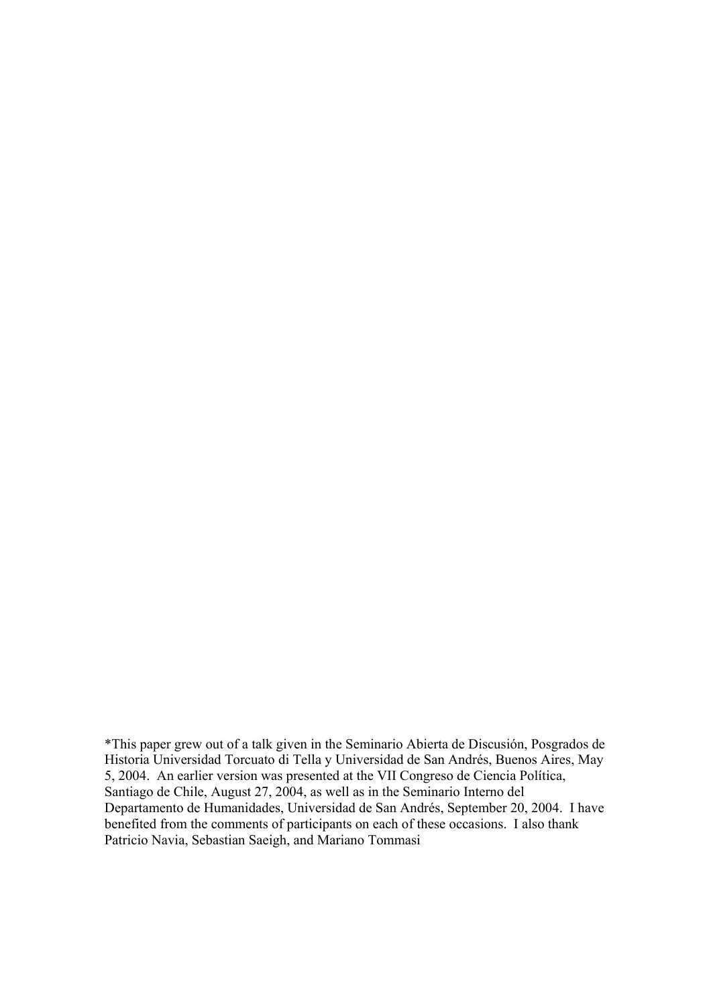\*This paper grew out of a talk given in the Seminario Abierta de Discusión, Posgrados de Historia Universidad Torcuato di Tella y Universidad de San Andrés, Buenos Aires, May 5, 2004. An earlier version was presented at the VII Congreso de Ciencia Política, Santiago de Chile, August 27, 2004, as well as in the Seminario Interno del Departamento de Humanidades, Universidad de San Andrés, September 20, 2004. I have benefited from the comments of participants on each of these occasions. I also thank Patricio Navia, Sebastian Saeigh, and Mariano Tommasi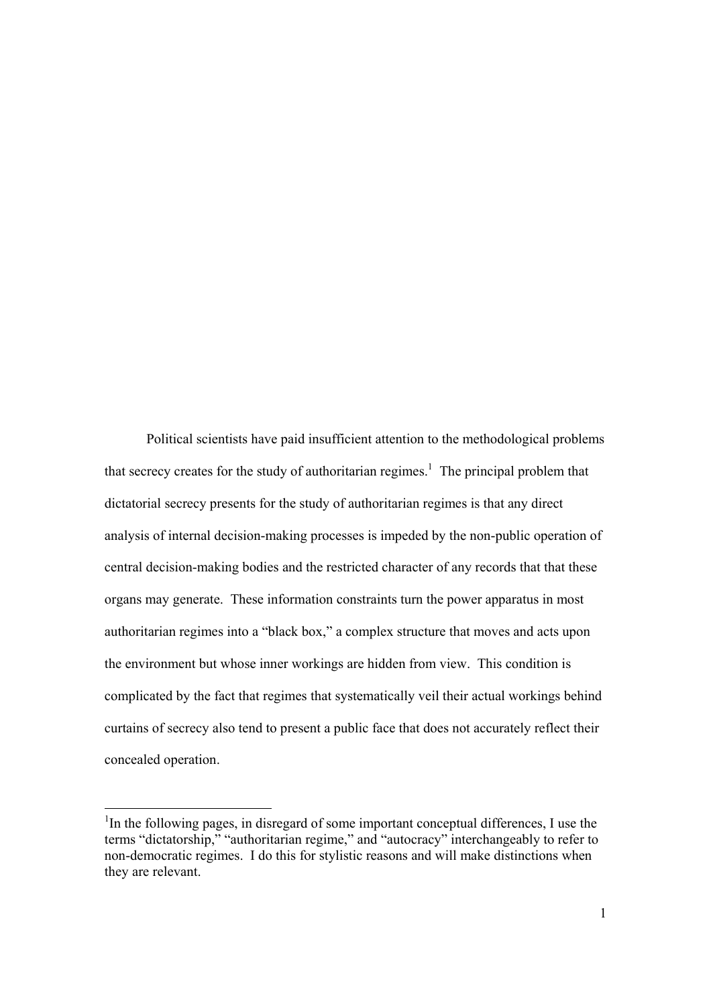Political scientists have paid insufficient attention to the methodological problems that secrecy creates for the study of authoritarian regimes.<sup>1</sup> The principal problem that dictatorial secrecy presents for the study of authoritarian regimes is that any direct analysis of internal decision-making processes is impeded by the non-public operation of central decision-making bodies and the restricted character of any records that that these organs may generate. These information constraints turn the power apparatus in most authoritarian regimes into a "black box," a complex structure that moves and acts upon the environment but whose inner workings are hidden from view. This condition is complicated by the fact that regimes that systematically veil their actual workings behind curtains of secrecy also tend to present a public face that does not accurately reflect their concealed operation.

 $1$ In the following pages, in disregard of some important conceptual differences, I use the terms "dictatorship," "authoritarian regime," and "autocracy" interchangeably to refer to non-democratic regimes. I do this for stylistic reasons and will make distinctions when they are relevant.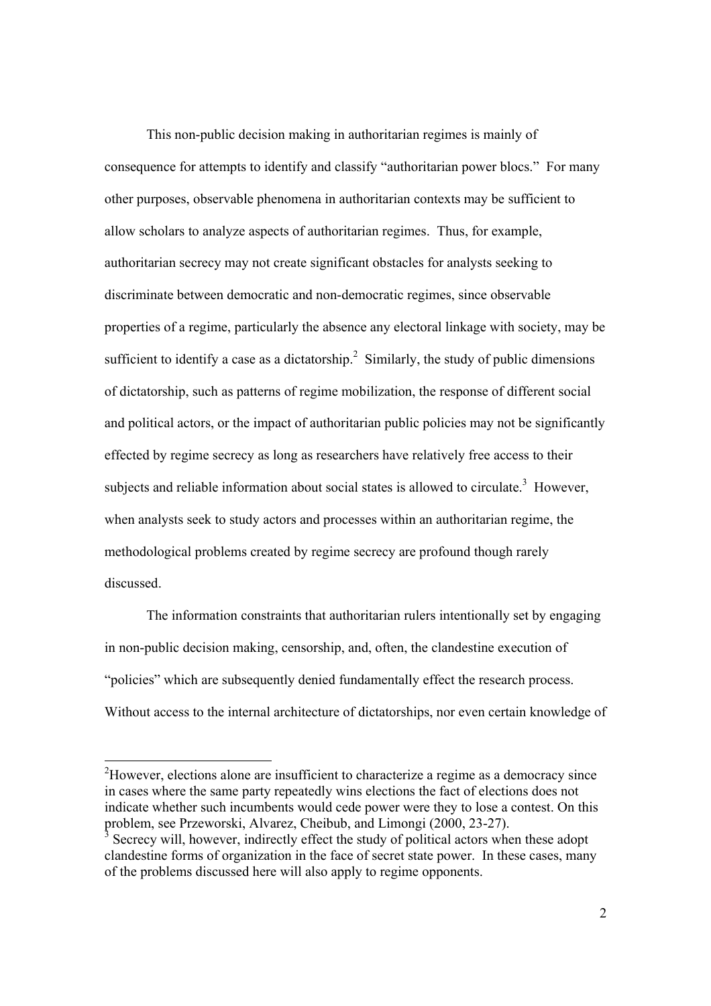This non-public decision making in authoritarian regimes is mainly of consequence for attempts to identify and classify "authoritarian power blocs." For many other purposes, observable phenomena in authoritarian contexts may be sufficient to allow scholars to analyze aspects of authoritarian regimes. Thus, for example, authoritarian secrecy may not create significant obstacles for analysts seeking to discriminate between democratic and non-democratic regimes, since observable properties of a regime, particularly the absence any electoral linkage with society, may be sufficient to identify a case as a dictatorship.<sup>2</sup> Similarly, the study of public dimensions of dictatorship, such as patterns of regime mobilization, the response of different social and political actors, or the impact of authoritarian public policies may not be significantly effected by regime secrecy as long as researchers have relatively free access to their subjects and reliable information about social states is allowed to circulate.<sup>3</sup> However, when analysts seek to study actors and processes within an authoritarian regime, the methodological problems created by regime secrecy are profound though rarely discussed.

 The information constraints that authoritarian rulers intentionally set by engaging in non-public decision making, censorship, and, often, the clandestine execution of "policies" which are subsequently denied fundamentally effect the research process. Without access to the internal architecture of dictatorships, nor even certain knowledge of

<sup>&</sup>lt;sup>2</sup>However, elections alone are insufficient to characterize a regime as a democracy since in cases where the same party repeatedly wins elections the fact of elections does not indicate whether such incumbents would cede power were they to lose a contest. On this problem, see Przeworski, Alvarez, Cheibub, and Limongi (2000, 23-27).

<sup>&</sup>lt;sup>3</sup> Secrecy will, however, indirectly effect the study of political actors when these adopt clandestine forms of organization in the face of secret state power. In these cases, many of the problems discussed here will also apply to regime opponents.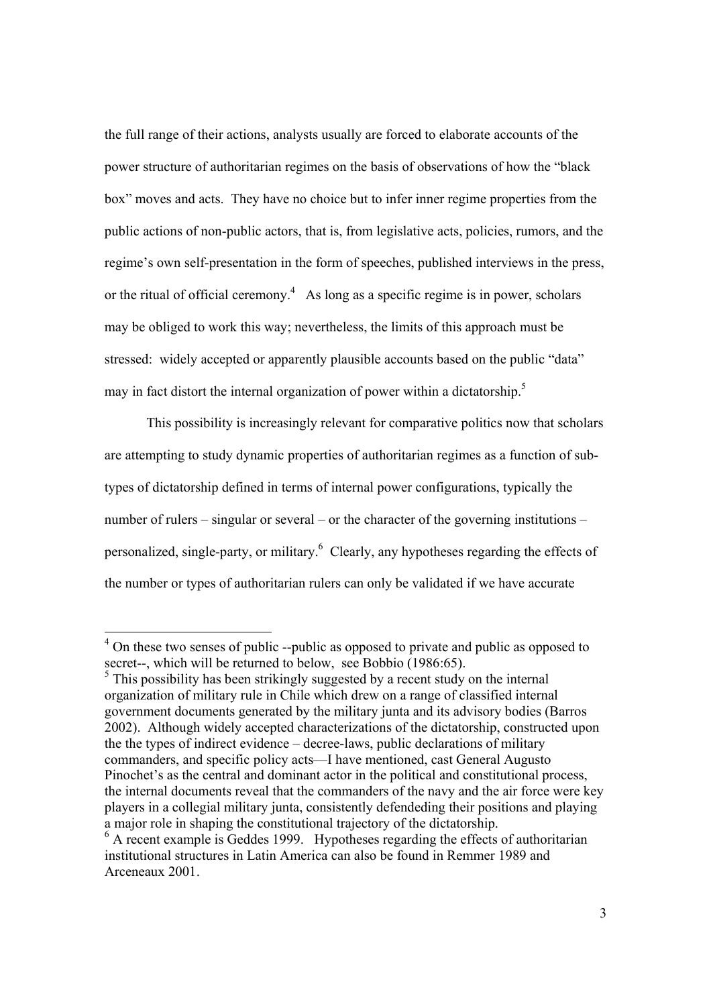the full range of their actions, analysts usually are forced to elaborate accounts of the power structure of authoritarian regimes on the basis of observations of how the "black box" moves and acts. They have no choice but to infer inner regime properties from the public actions of non-public actors, that is, from legislative acts, policies, rumors, and the regime's own self-presentation in the form of speeches, published interviews in the press, or the ritual of official ceremony.<sup>4</sup> As long as a specific regime is in power, scholars may be obliged to work this way; nevertheless, the limits of this approach must be stressed: widely accepted or apparently plausible accounts based on the public "data" may in fact distort the internal organization of power within a dictatorship.<sup>5</sup>

 This possibility is increasingly relevant for comparative politics now that scholars are attempting to study dynamic properties of authoritarian regimes as a function of subtypes of dictatorship defined in terms of internal power configurations, typically the number of rulers – singular or several – or the character of the governing institutions – personalized, single-party, or military.<sup>6</sup> Clearly, any hypotheses regarding the effects of the number or types of authoritarian rulers can only be validated if we have accurate

 $\overline{a}$ 

 $4$  On these two senses of public --public as opposed to private and public as opposed to secret--, which will be returned to below, see Bobbio (1986:65).

<sup>&</sup>lt;sup>5</sup> This possibility has been strikingly suggested by a recent study on the internal organization of military rule in Chile which drew on a range of classified internal government documents generated by the military junta and its advisory bodies (Barros 2002). Although widely accepted characterizations of the dictatorship, constructed upon the the types of indirect evidence – decree-laws, public declarations of military commanders, and specific policy acts—I have mentioned, cast General Augusto Pinochet's as the central and dominant actor in the political and constitutional process, the internal documents reveal that the commanders of the navy and the air force were key players in a collegial military junta, consistently defendeding their positions and playing a major role in shaping the constitutional trajectory of the dictatorship.

<sup>&</sup>lt;sup>6</sup> A recent example is Geddes 1999. Hypotheses regarding the effects of authoritarian institutional structures in Latin America can also be found in Remmer 1989 and Arceneaux 2001.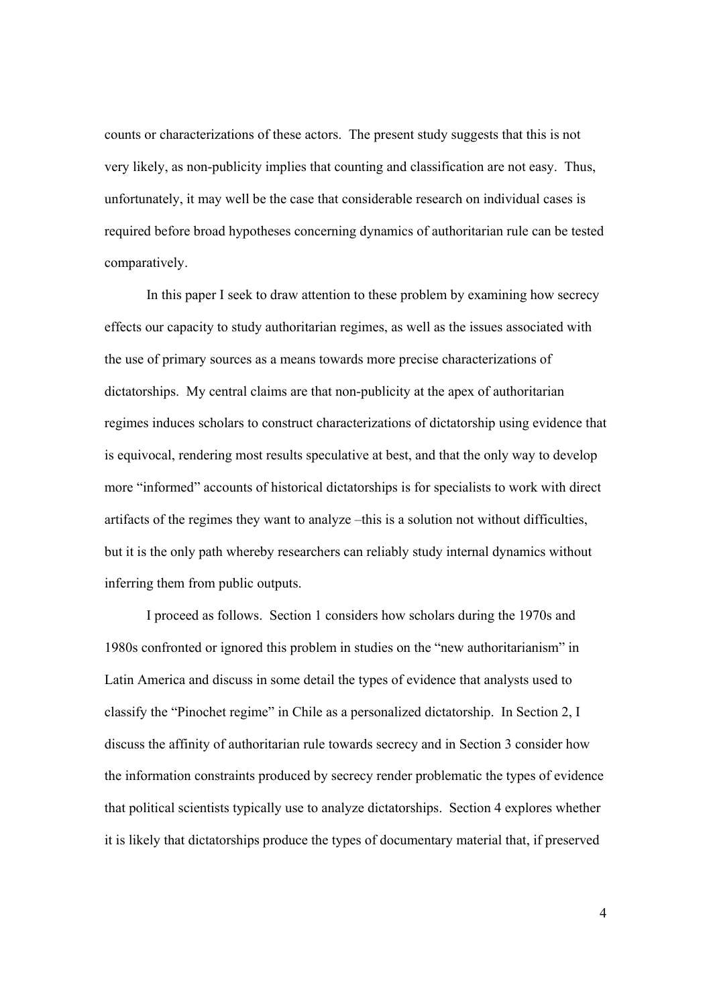counts or characterizations of these actors. The present study suggests that this is not very likely, as non-publicity implies that counting and classification are not easy. Thus, unfortunately, it may well be the case that considerable research on individual cases is required before broad hypotheses concerning dynamics of authoritarian rule can be tested comparatively.

 In this paper I seek to draw attention to these problem by examining how secrecy effects our capacity to study authoritarian regimes, as well as the issues associated with the use of primary sources as a means towards more precise characterizations of dictatorships. My central claims are that non-publicity at the apex of authoritarian regimes induces scholars to construct characterizations of dictatorship using evidence that is equivocal, rendering most results speculative at best, and that the only way to develop more "informed" accounts of historical dictatorships is for specialists to work with direct artifacts of the regimes they want to analyze –this is a solution not without difficulties, but it is the only path whereby researchers can reliably study internal dynamics without inferring them from public outputs.

 I proceed as follows. Section 1 considers how scholars during the 1970s and 1980s confronted or ignored this problem in studies on the "new authoritarianism" in Latin America and discuss in some detail the types of evidence that analysts used to classify the "Pinochet regime" in Chile as a personalized dictatorship. In Section 2, I discuss the affinity of authoritarian rule towards secrecy and in Section 3 consider how the information constraints produced by secrecy render problematic the types of evidence that political scientists typically use to analyze dictatorships. Section 4 explores whether it is likely that dictatorships produce the types of documentary material that, if preserved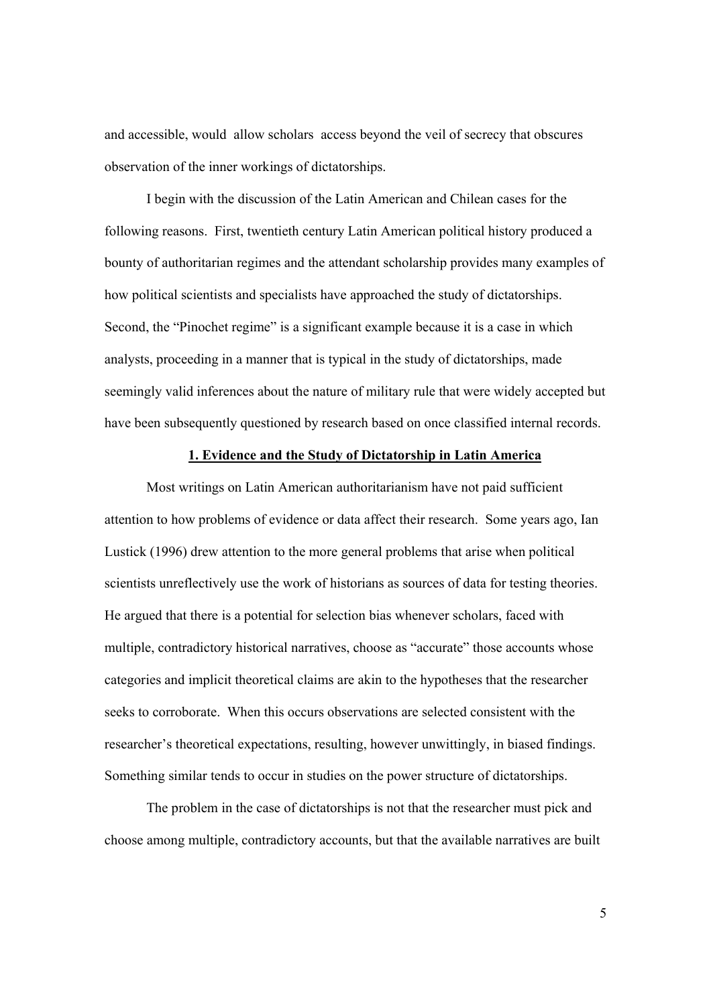and accessible, would allow scholars access beyond the veil of secrecy that obscures observation of the inner workings of dictatorships.

 I begin with the discussion of the Latin American and Chilean cases for the following reasons. First, twentieth century Latin American political history produced a bounty of authoritarian regimes and the attendant scholarship provides many examples of how political scientists and specialists have approached the study of dictatorships. Second, the "Pinochet regime" is a significant example because it is a case in which analysts, proceeding in a manner that is typical in the study of dictatorships, made seemingly valid inferences about the nature of military rule that were widely accepted but have been subsequently questioned by research based on once classified internal records.

#### **1. Evidence and the Study of Dictatorship in Latin America**

 Most writings on Latin American authoritarianism have not paid sufficient attention to how problems of evidence or data affect their research. Some years ago, Ian Lustick (1996) drew attention to the more general problems that arise when political scientists unreflectively use the work of historians as sources of data for testing theories. He argued that there is a potential for selection bias whenever scholars, faced with multiple, contradictory historical narratives, choose as "accurate" those accounts whose categories and implicit theoretical claims are akin to the hypotheses that the researcher seeks to corroborate. When this occurs observations are selected consistent with the researcher's theoretical expectations, resulting, however unwittingly, in biased findings. Something similar tends to occur in studies on the power structure of dictatorships.

 The problem in the case of dictatorships is not that the researcher must pick and choose among multiple, contradictory accounts, but that the available narratives are built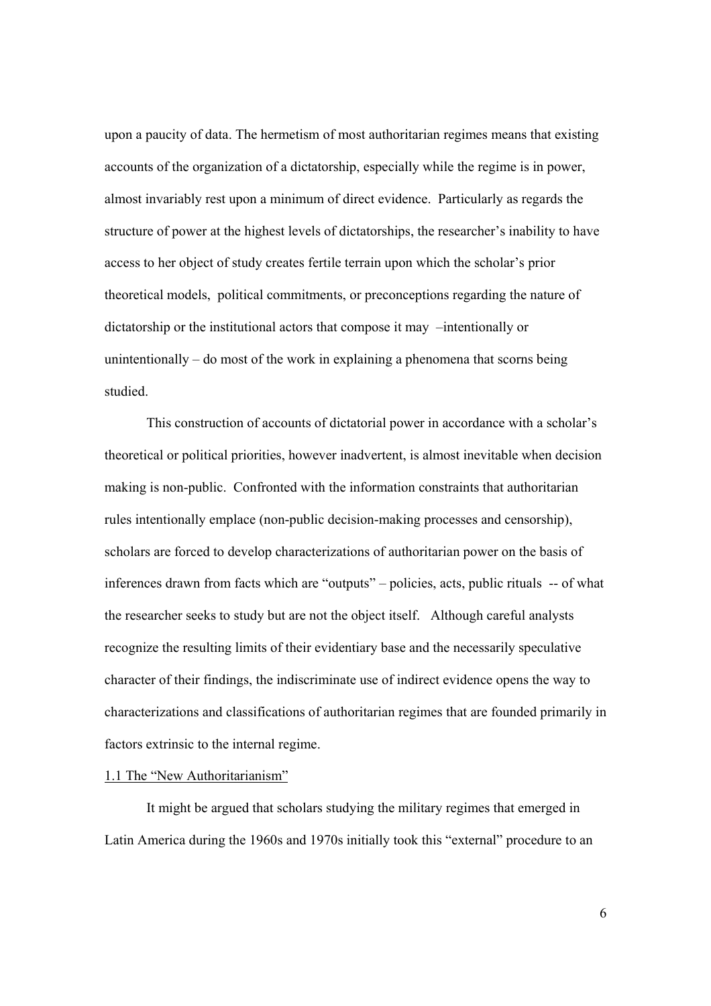upon a paucity of data. The hermetism of most authoritarian regimes means that existing accounts of the organization of a dictatorship, especially while the regime is in power, almost invariably rest upon a minimum of direct evidence. Particularly as regards the structure of power at the highest levels of dictatorships, the researcher's inability to have access to her object of study creates fertile terrain upon which the scholar's prior theoretical models, political commitments, or preconceptions regarding the nature of dictatorship or the institutional actors that compose it may –intentionally or unintentionally – do most of the work in explaining a phenomena that scorns being studied.

 This construction of accounts of dictatorial power in accordance with a scholar's theoretical or political priorities, however inadvertent, is almost inevitable when decision making is non-public. Confronted with the information constraints that authoritarian rules intentionally emplace (non-public decision-making processes and censorship), scholars are forced to develop characterizations of authoritarian power on the basis of inferences drawn from facts which are "outputs" – policies, acts, public rituals -- of what the researcher seeks to study but are not the object itself. Although careful analysts recognize the resulting limits of their evidentiary base and the necessarily speculative character of their findings, the indiscriminate use of indirect evidence opens the way to characterizations and classifications of authoritarian regimes that are founded primarily in factors extrinsic to the internal regime.

#### 1.1 The "New Authoritarianism"

 It might be argued that scholars studying the military regimes that emerged in Latin America during the 1960s and 1970s initially took this "external" procedure to an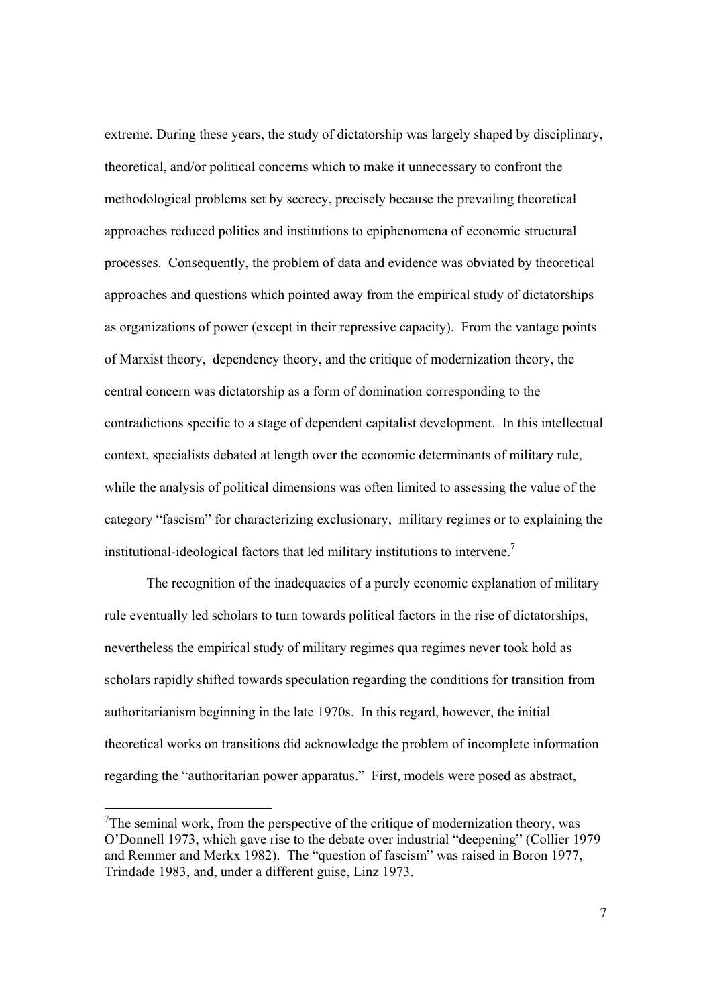extreme. During these years, the study of dictatorship was largely shaped by disciplinary, theoretical, and/or political concerns which to make it unnecessary to confront the methodological problems set by secrecy, precisely because the prevailing theoretical approaches reduced politics and institutions to epiphenomena of economic structural processes. Consequently, the problem of data and evidence was obviated by theoretical approaches and questions which pointed away from the empirical study of dictatorships as organizations of power (except in their repressive capacity). From the vantage points of Marxist theory, dependency theory, and the critique of modernization theory, the central concern was dictatorship as a form of domination corresponding to the contradictions specific to a stage of dependent capitalist development. In this intellectual context, specialists debated at length over the economic determinants of military rule, while the analysis of political dimensions was often limited to assessing the value of the category "fascism" for characterizing exclusionary, military regimes or to explaining the institutional-ideological factors that led military institutions to intervene.7

 The recognition of the inadequacies of a purely economic explanation of military rule eventually led scholars to turn towards political factors in the rise of dictatorships, nevertheless the empirical study of military regimes qua regimes never took hold as scholars rapidly shifted towards speculation regarding the conditions for transition from authoritarianism beginning in the late 1970s. In this regard, however, the initial theoretical works on transitions did acknowledge the problem of incomplete information regarding the "authoritarian power apparatus." First, models were posed as abstract,

<sup>&</sup>lt;sup>7</sup>The seminal work, from the perspective of the critique of modernization theory, was O'Donnell 1973, which gave rise to the debate over industrial "deepening" (Collier 1979 and Remmer and Merkx 1982). The "question of fascism" was raised in Boron 1977, Trindade 1983, and, under a different guise, Linz 1973.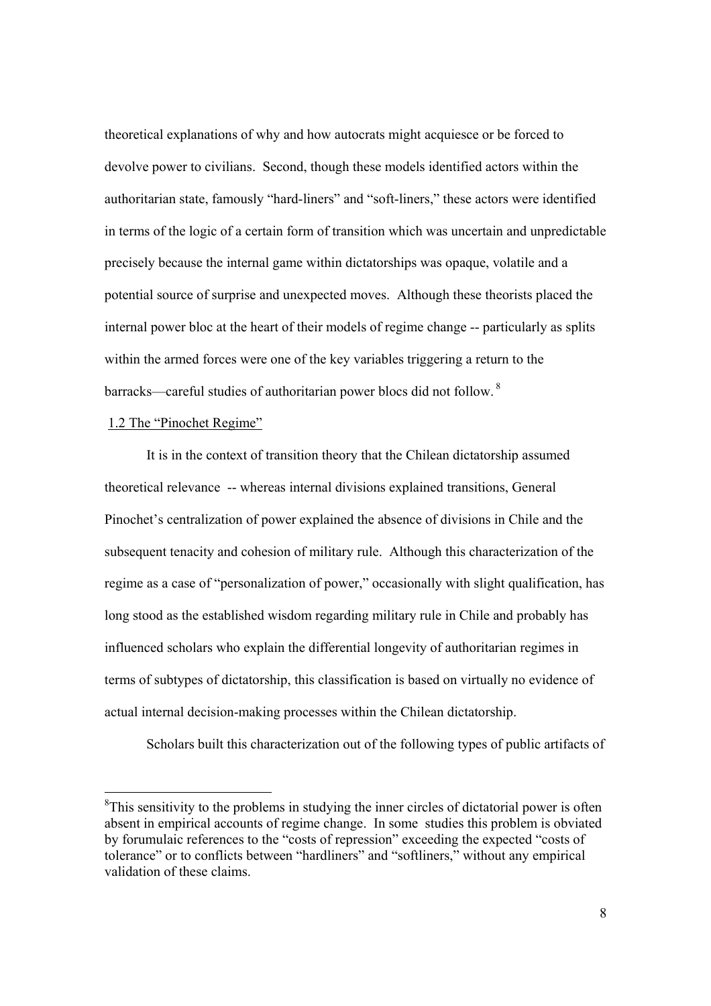theoretical explanations of why and how autocrats might acquiesce or be forced to devolve power to civilians. Second, though these models identified actors within the authoritarian state, famously "hard-liners" and "soft-liners," these actors were identified in terms of the logic of a certain form of transition which was uncertain and unpredictable precisely because the internal game within dictatorships was opaque, volatile and a potential source of surprise and unexpected moves. Although these theorists placed the internal power bloc at the heart of their models of regime change -- particularly as splits within the armed forces were one of the key variables triggering a return to the barracks—careful studies of authoritarian power blocs did not follow. 8

#### 1.2 The "Pinochet Regime"

 $\overline{a}$ 

 It is in the context of transition theory that the Chilean dictatorship assumed theoretical relevance -- whereas internal divisions explained transitions, General Pinochet's centralization of power explained the absence of divisions in Chile and the subsequent tenacity and cohesion of military rule. Although this characterization of the regime as a case of "personalization of power," occasionally with slight qualification, has long stood as the established wisdom regarding military rule in Chile and probably has influenced scholars who explain the differential longevity of authoritarian regimes in terms of subtypes of dictatorship, this classification is based on virtually no evidence of actual internal decision-making processes within the Chilean dictatorship.

Scholars built this characterization out of the following types of public artifacts of

 ${}^{8}$ This sensitivity to the problems in studying the inner circles of dictatorial power is often absent in empirical accounts of regime change. In some studies this problem is obviated by forumulaic references to the "costs of repression" exceeding the expected "costs of tolerance" or to conflicts between "hardliners" and "softliners," without any empirical validation of these claims.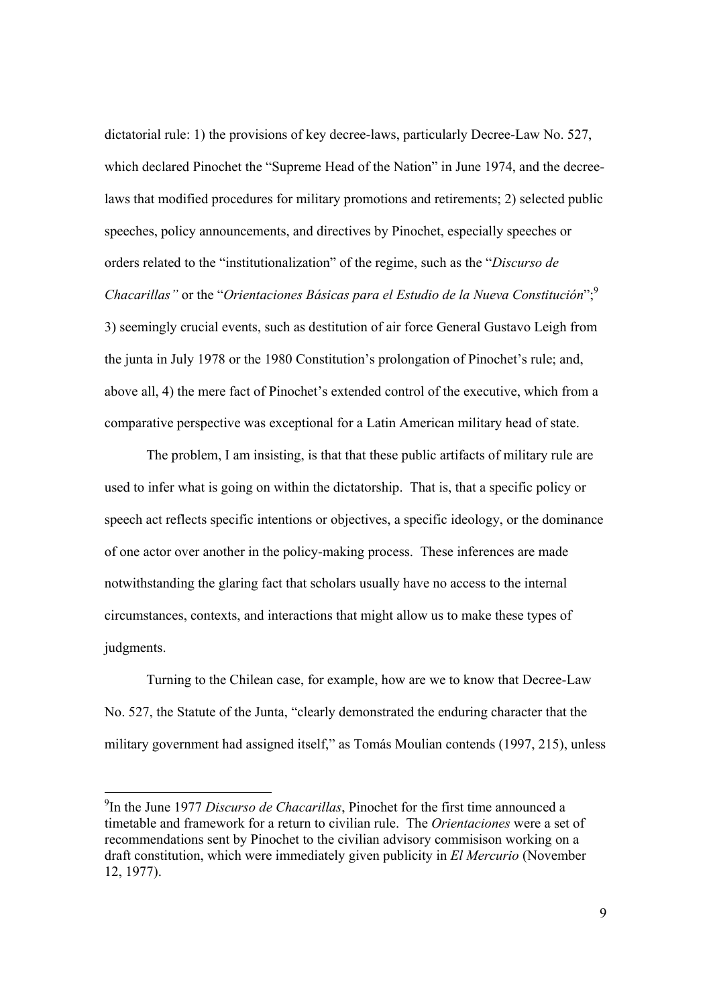dictatorial rule: 1) the provisions of key decree-laws, particularly Decree-Law No. 527, which declared Pinochet the "Supreme Head of the Nation" in June 1974, and the decreelaws that modified procedures for military promotions and retirements; 2) selected public speeches, policy announcements, and directives by Pinochet, especially speeches or orders related to the "institutionalization" of the regime, such as the "*Discurso de Chacarillas"* or the "*Orientaciones Básicas para el Estudio de la Nueva Constitución*";9 3) seemingly crucial events, such as destitution of air force General Gustavo Leigh from the junta in July 1978 or the 1980 Constitution's prolongation of Pinochet's rule; and, above all, 4) the mere fact of Pinochet's extended control of the executive, which from a comparative perspective was exceptional for a Latin American military head of state.

 The problem, I am insisting, is that that these public artifacts of military rule are used to infer what is going on within the dictatorship. That is, that a specific policy or speech act reflects specific intentions or objectives, a specific ideology, or the dominance of one actor over another in the policy-making process. These inferences are made notwithstanding the glaring fact that scholars usually have no access to the internal circumstances, contexts, and interactions that might allow us to make these types of judgments.

 Turning to the Chilean case, for example, how are we to know that Decree-Law No. 527, the Statute of the Junta, "clearly demonstrated the enduring character that the military government had assigned itself," as Tomás Moulian contends (1997, 215), unless

 $\overline{a}$ 

<sup>9</sup> In the June 1977 *Discurso de Chacarillas*, Pinochet for the first time announced a timetable and framework for a return to civilian rule. The *Orientaciones* were a set of recommendations sent by Pinochet to the civilian advisory commisison working on a draft constitution, which were immediately given publicity in *El Mercurio* (November 12, 1977).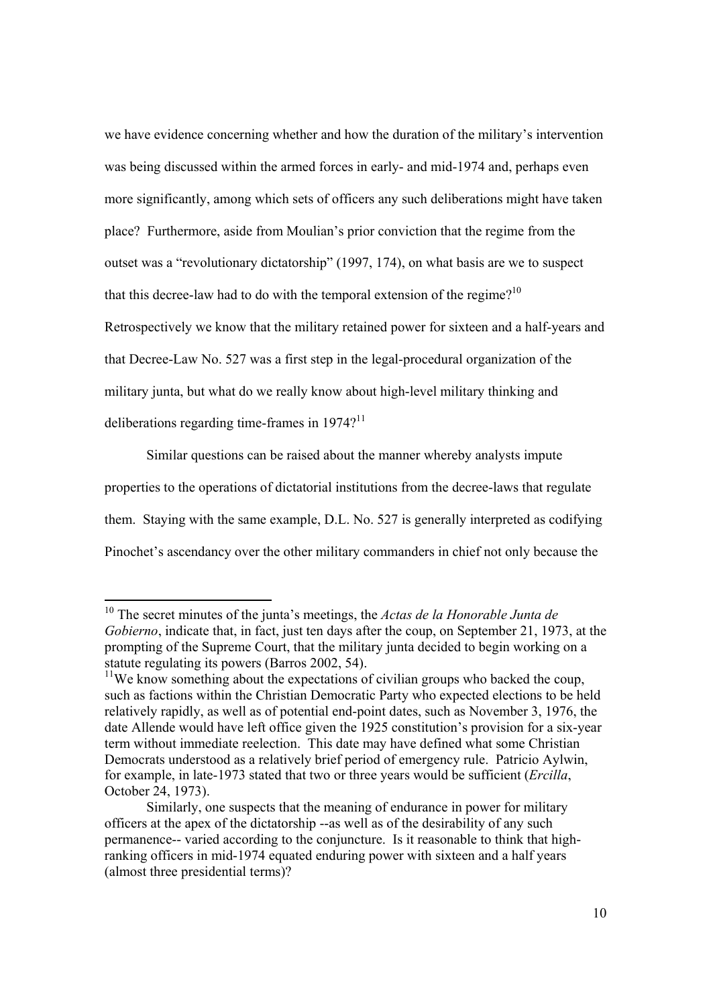we have evidence concerning whether and how the duration of the military's intervention was being discussed within the armed forces in early- and mid-1974 and, perhaps even more significantly, among which sets of officers any such deliberations might have taken place? Furthermore, aside from Moulian's prior conviction that the regime from the outset was a "revolutionary dictatorship" (1997, 174), on what basis are we to suspect that this decree-law had to do with the temporal extension of the regime?<sup>10</sup> Retrospectively we know that the military retained power for sixteen and a half-years and that Decree-Law No. 527 was a first step in the legal-procedural organization of the military junta, but what do we really know about high-level military thinking and deliberations regarding time-frames in  $1974$ ?<sup>11</sup>

 Similar questions can be raised about the manner whereby analysts impute properties to the operations of dictatorial institutions from the decree-laws that regulate them. Staying with the same example, D.L. No. 527 is generally interpreted as codifying Pinochet's ascendancy over the other military commanders in chief not only because the

<sup>10</sup> The secret minutes of the junta's meetings, the *Actas de la Honorable Junta de Gobierno*, indicate that, in fact, just ten days after the coup, on September 21, 1973, at the prompting of the Supreme Court, that the military junta decided to begin working on a statute regulating its powers (Barros 2002, 54).

 $11$ We know something about the expectations of civilian groups who backed the coup, such as factions within the Christian Democratic Party who expected elections to be held relatively rapidly, as well as of potential end-point dates, such as November 3, 1976, the date Allende would have left office given the 1925 constitution's provision for a six-year term without immediate reelection. This date may have defined what some Christian Democrats understood as a relatively brief period of emergency rule. Patricio Aylwin, for example, in late-1973 stated that two or three years would be sufficient (*Ercilla*, October 24, 1973).

Similarly, one suspects that the meaning of endurance in power for military officers at the apex of the dictatorship --as well as of the desirability of any such permanence-- varied according to the conjuncture. Is it reasonable to think that highranking officers in mid-1974 equated enduring power with sixteen and a half years (almost three presidential terms)?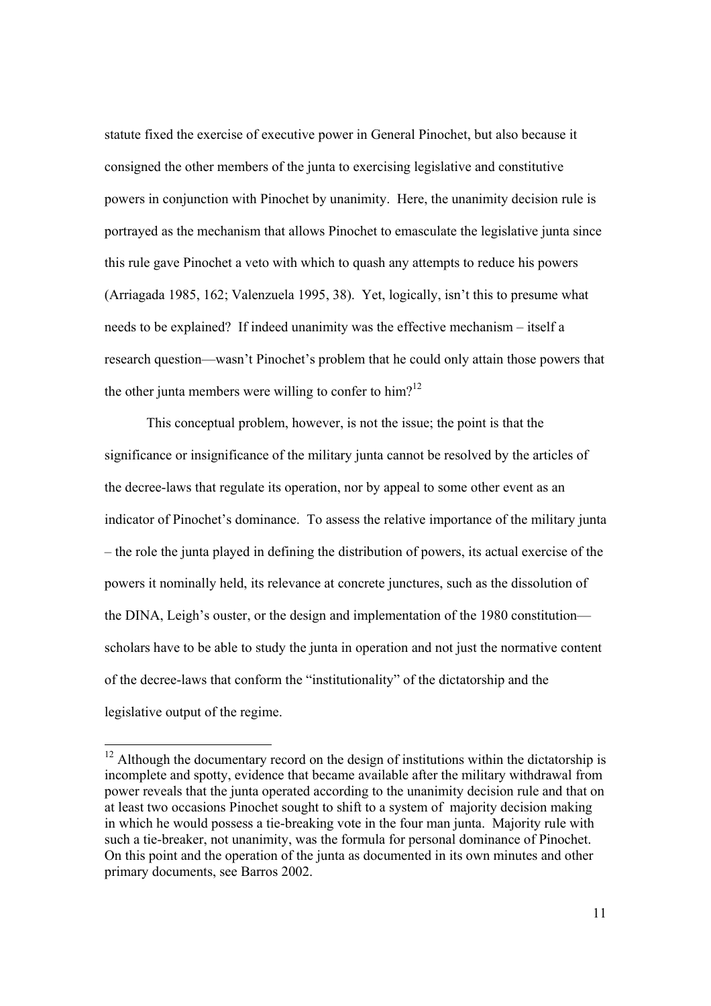statute fixed the exercise of executive power in General Pinochet, but also because it consigned the other members of the junta to exercising legislative and constitutive powers in conjunction with Pinochet by unanimity. Here, the unanimity decision rule is portrayed as the mechanism that allows Pinochet to emasculate the legislative junta since this rule gave Pinochet a veto with which to quash any attempts to reduce his powers (Arriagada 1985, 162; Valenzuela 1995, 38). Yet, logically, isn't this to presume what needs to be explained? If indeed unanimity was the effective mechanism – itself a research question—wasn't Pinochet's problem that he could only attain those powers that the other junta members were willing to confer to him?<sup>12</sup>

 This conceptual problem, however, is not the issue; the point is that the significance or insignificance of the military junta cannot be resolved by the articles of the decree-laws that regulate its operation, nor by appeal to some other event as an indicator of Pinochet's dominance. To assess the relative importance of the military junta – the role the junta played in defining the distribution of powers, its actual exercise of the powers it nominally held, its relevance at concrete junctures, such as the dissolution of the DINA, Leigh's ouster, or the design and implementation of the 1980 constitution scholars have to be able to study the junta in operation and not just the normative content of the decree-laws that conform the "institutionality" of the dictatorship and the legislative output of the regime.

 $12$  Although the documentary record on the design of institutions within the dictatorship is incomplete and spotty, evidence that became available after the military withdrawal from power reveals that the junta operated according to the unanimity decision rule and that on at least two occasions Pinochet sought to shift to a system of majority decision making in which he would possess a tie-breaking vote in the four man junta. Majority rule with such a tie-breaker, not unanimity, was the formula for personal dominance of Pinochet. On this point and the operation of the junta as documented in its own minutes and other primary documents, see Barros 2002.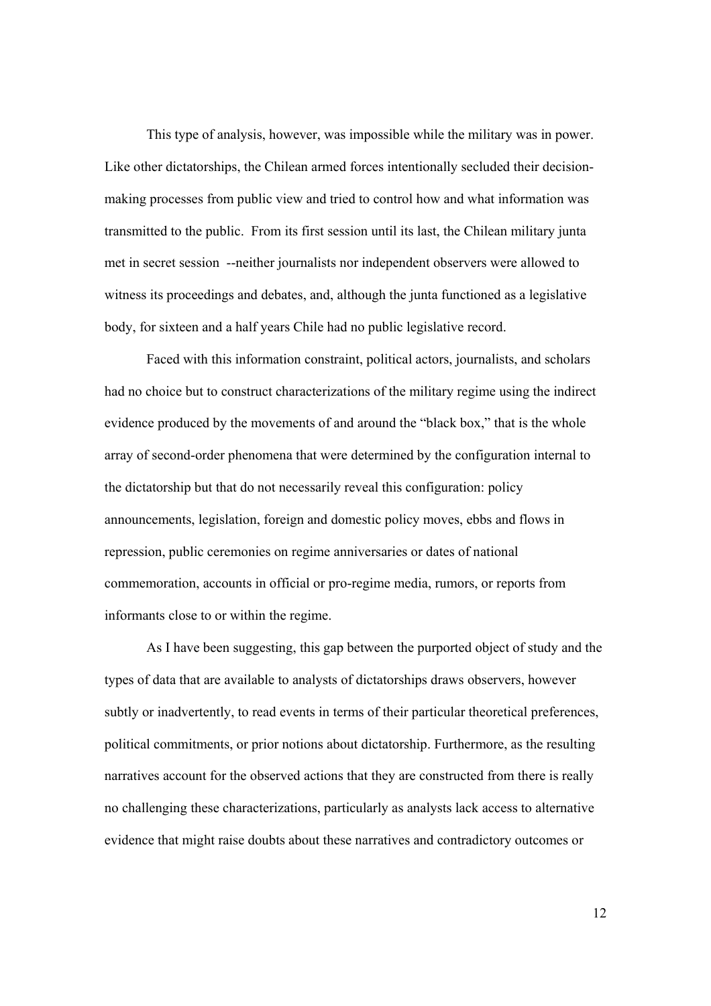This type of analysis, however, was impossible while the military was in power. Like other dictatorships, the Chilean armed forces intentionally secluded their decisionmaking processes from public view and tried to control how and what information was transmitted to the public. From its first session until its last, the Chilean military junta met in secret session --neither journalists nor independent observers were allowed to witness its proceedings and debates, and, although the junta functioned as a legislative body, for sixteen and a half years Chile had no public legislative record.

 Faced with this information constraint, political actors, journalists, and scholars had no choice but to construct characterizations of the military regime using the indirect evidence produced by the movements of and around the "black box," that is the whole array of second-order phenomena that were determined by the configuration internal to the dictatorship but that do not necessarily reveal this configuration: policy announcements, legislation, foreign and domestic policy moves, ebbs and flows in repression, public ceremonies on regime anniversaries or dates of national commemoration, accounts in official or pro-regime media, rumors, or reports from informants close to or within the regime.

 As I have been suggesting, this gap between the purported object of study and the types of data that are available to analysts of dictatorships draws observers, however subtly or inadvertently, to read events in terms of their particular theoretical preferences, political commitments, or prior notions about dictatorship. Furthermore, as the resulting narratives account for the observed actions that they are constructed from there is really no challenging these characterizations, particularly as analysts lack access to alternative evidence that might raise doubts about these narratives and contradictory outcomes or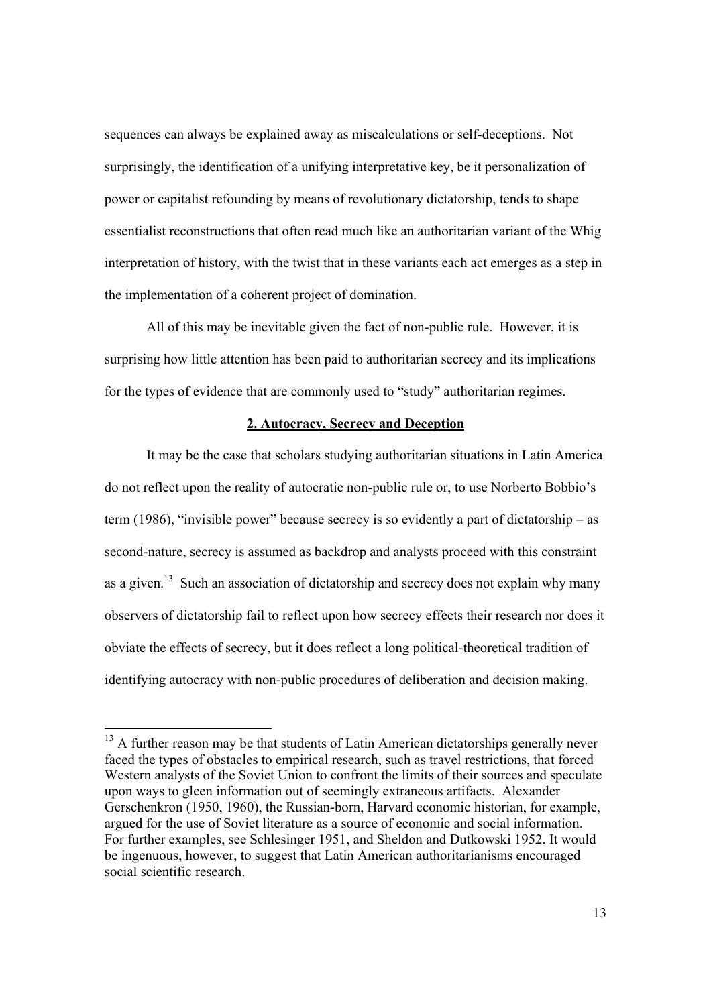sequences can always be explained away as miscalculations or self-deceptions. Not surprisingly, the identification of a unifying interpretative key, be it personalization of power or capitalist refounding by means of revolutionary dictatorship, tends to shape essentialist reconstructions that often read much like an authoritarian variant of the Whig interpretation of history, with the twist that in these variants each act emerges as a step in the implementation of a coherent project of domination.

 All of this may be inevitable given the fact of non-public rule. However, it is surprising how little attention has been paid to authoritarian secrecy and its implications for the types of evidence that are commonly used to "study" authoritarian regimes.

## **2. Autocracy, Secrecy and Deception**

 It may be the case that scholars studying authoritarian situations in Latin America do not reflect upon the reality of autocratic non-public rule or, to use Norberto Bobbio's term (1986), "invisible power" because secrecy is so evidently a part of dictatorship – as second-nature, secrecy is assumed as backdrop and analysts proceed with this constraint as a given.<sup>13</sup> Such an association of dictatorship and secrecy does not explain why many observers of dictatorship fail to reflect upon how secrecy effects their research nor does it obviate the effects of secrecy, but it does reflect a long political-theoretical tradition of identifying autocracy with non-public procedures of deliberation and decision making.

<sup>&</sup>lt;sup>13</sup> A further reason may be that students of Latin American dictatorships generally never faced the types of obstacles to empirical research, such as travel restrictions, that forced Western analysts of the Soviet Union to confront the limits of their sources and speculate upon ways to gleen information out of seemingly extraneous artifacts. Alexander Gerschenkron (1950, 1960), the Russian-born, Harvard economic historian, for example, argued for the use of Soviet literature as a source of economic and social information. For further examples, see Schlesinger 1951, and Sheldon and Dutkowski 1952. It would be ingenuous, however, to suggest that Latin American authoritarianisms encouraged social scientific research.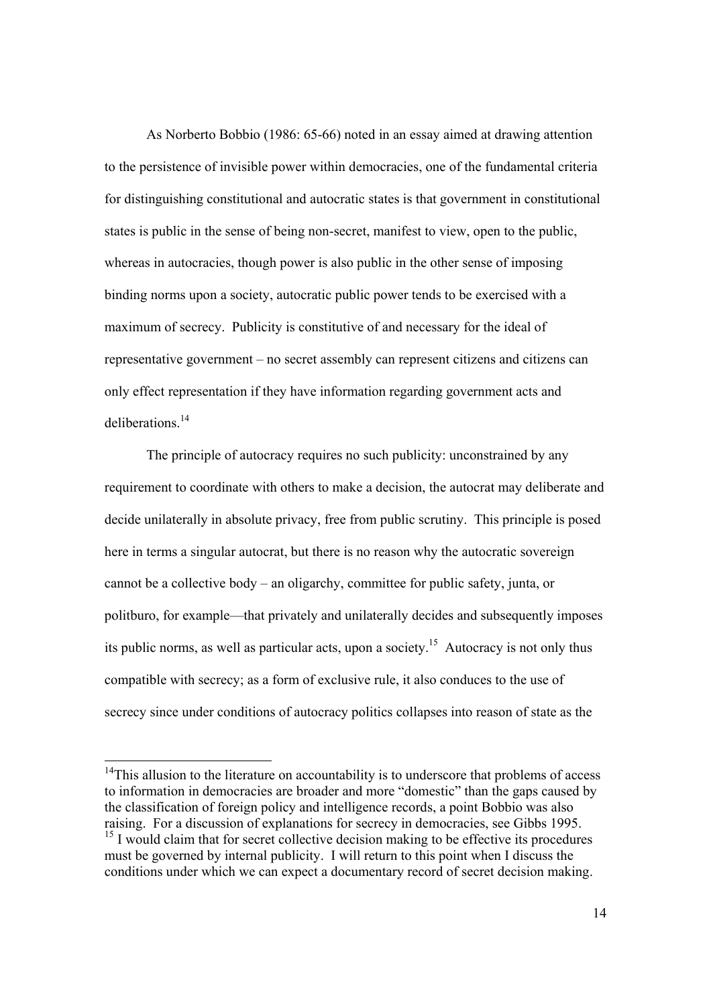As Norberto Bobbio (1986: 65-66) noted in an essay aimed at drawing attention to the persistence of invisible power within democracies, one of the fundamental criteria for distinguishing constitutional and autocratic states is that government in constitutional states is public in the sense of being non-secret, manifest to view, open to the public, whereas in autocracies, though power is also public in the other sense of imposing binding norms upon a society, autocratic public power tends to be exercised with a maximum of secrecy. Publicity is constitutive of and necessary for the ideal of representative government – no secret assembly can represent citizens and citizens can only effect representation if they have information regarding government acts and deliberations<sup>14</sup>

 The principle of autocracy requires no such publicity: unconstrained by any requirement to coordinate with others to make a decision, the autocrat may deliberate and decide unilaterally in absolute privacy, free from public scrutiny. This principle is posed here in terms a singular autocrat, but there is no reason why the autocratic sovereign cannot be a collective body – an oligarchy, committee for public safety, junta, or politburo, for example—that privately and unilaterally decides and subsequently imposes its public norms, as well as particular acts, upon a society.<sup>15</sup> Autocracy is not only thus compatible with secrecy; as a form of exclusive rule, it also conduces to the use of secrecy since under conditions of autocracy politics collapses into reason of state as the

 $14$ This allusion to the literature on accountability is to underscore that problems of access to information in democracies are broader and more "domestic" than the gaps caused by the classification of foreign policy and intelligence records, a point Bobbio was also raising. For a discussion of explanations for secrecy in democracies, see Gibbs 1995.

 $^{15}$  I would claim that for secret collective decision making to be effective its procedures must be governed by internal publicity. I will return to this point when I discuss the conditions under which we can expect a documentary record of secret decision making.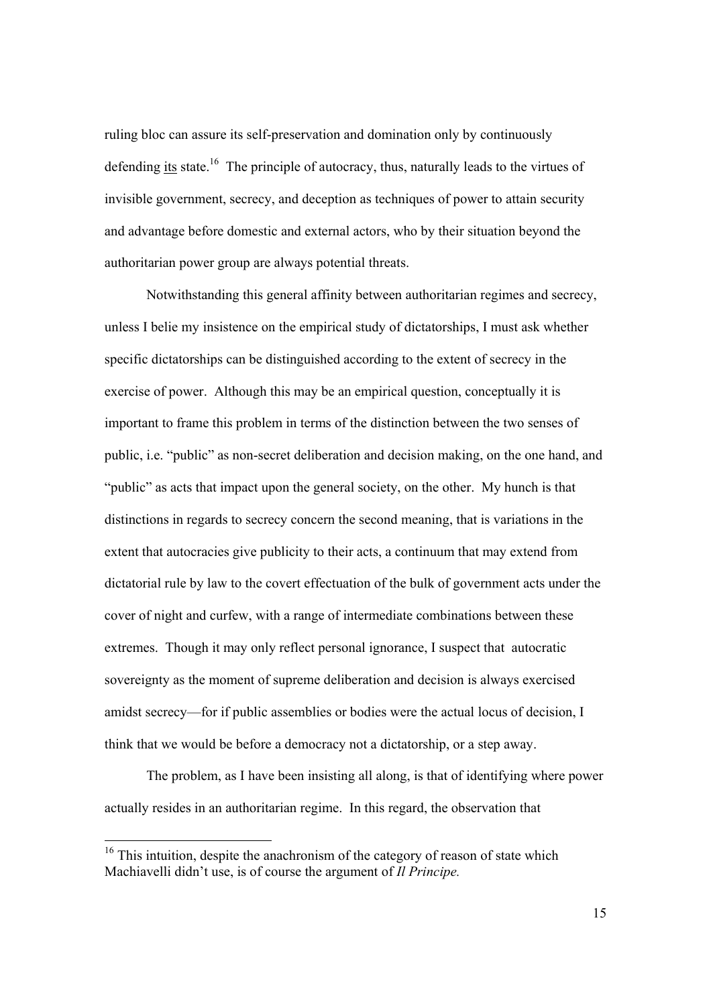ruling bloc can assure its self-preservation and domination only by continuously defending its state.<sup>16</sup> The principle of autocracy, thus, naturally leads to the virtues of invisible government, secrecy, and deception as techniques of power to attain security and advantage before domestic and external actors, who by their situation beyond the authoritarian power group are always potential threats.

 Notwithstanding this general affinity between authoritarian regimes and secrecy, unless I belie my insistence on the empirical study of dictatorships, I must ask whether specific dictatorships can be distinguished according to the extent of secrecy in the exercise of power. Although this may be an empirical question, conceptually it is important to frame this problem in terms of the distinction between the two senses of public, i.e. "public" as non-secret deliberation and decision making, on the one hand, and "public" as acts that impact upon the general society, on the other. My hunch is that distinctions in regards to secrecy concern the second meaning, that is variations in the extent that autocracies give publicity to their acts, a continuum that may extend from dictatorial rule by law to the covert effectuation of the bulk of government acts under the cover of night and curfew, with a range of intermediate combinations between these extremes. Though it may only reflect personal ignorance, I suspect that autocratic sovereignty as the moment of supreme deliberation and decision is always exercised amidst secrecy—for if public assemblies or bodies were the actual locus of decision, I think that we would be before a democracy not a dictatorship, or a step away.

 The problem, as I have been insisting all along, is that of identifying where power actually resides in an authoritarian regime. In this regard, the observation that

 $16$  This intuition, despite the anachronism of the category of reason of state which Machiavelli didn't use, is of course the argument of *Il Principe.*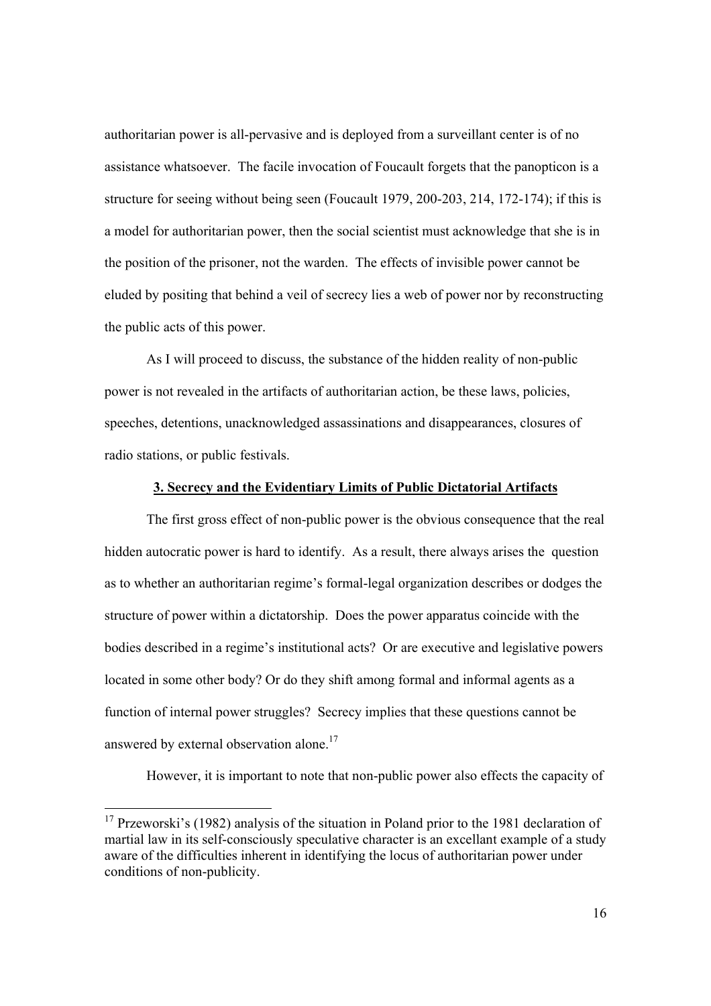authoritarian power is all-pervasive and is deployed from a surveillant center is of no assistance whatsoever. The facile invocation of Foucault forgets that the panopticon is a structure for seeing without being seen (Foucault 1979, 200-203, 214, 172-174); if this is a model for authoritarian power, then the social scientist must acknowledge that she is in the position of the prisoner, not the warden. The effects of invisible power cannot be eluded by positing that behind a veil of secrecy lies a web of power nor by reconstructing the public acts of this power.

 As I will proceed to discuss, the substance of the hidden reality of non-public power is not revealed in the artifacts of authoritarian action, be these laws, policies, speeches, detentions, unacknowledged assassinations and disappearances, closures of radio stations, or public festivals.

### **3. Secrecy and the Evidentiary Limits of Public Dictatorial Artifacts**

 The first gross effect of non-public power is the obvious consequence that the real hidden autocratic power is hard to identify. As a result, there always arises the question as to whether an authoritarian regime's formal-legal organization describes or dodges the structure of power within a dictatorship. Does the power apparatus coincide with the bodies described in a regime's institutional acts? Or are executive and legislative powers located in some other body? Or do they shift among formal and informal agents as a function of internal power struggles? Secrecy implies that these questions cannot be answered by external observation alone.<sup>17</sup>

However, it is important to note that non-public power also effects the capacity of

<sup>&</sup>lt;sup>17</sup> Przeworski's (1982) analysis of the situation in Poland prior to the 1981 declaration of martial law in its self-consciously speculative character is an excellant example of a study aware of the difficulties inherent in identifying the locus of authoritarian power under conditions of non-publicity.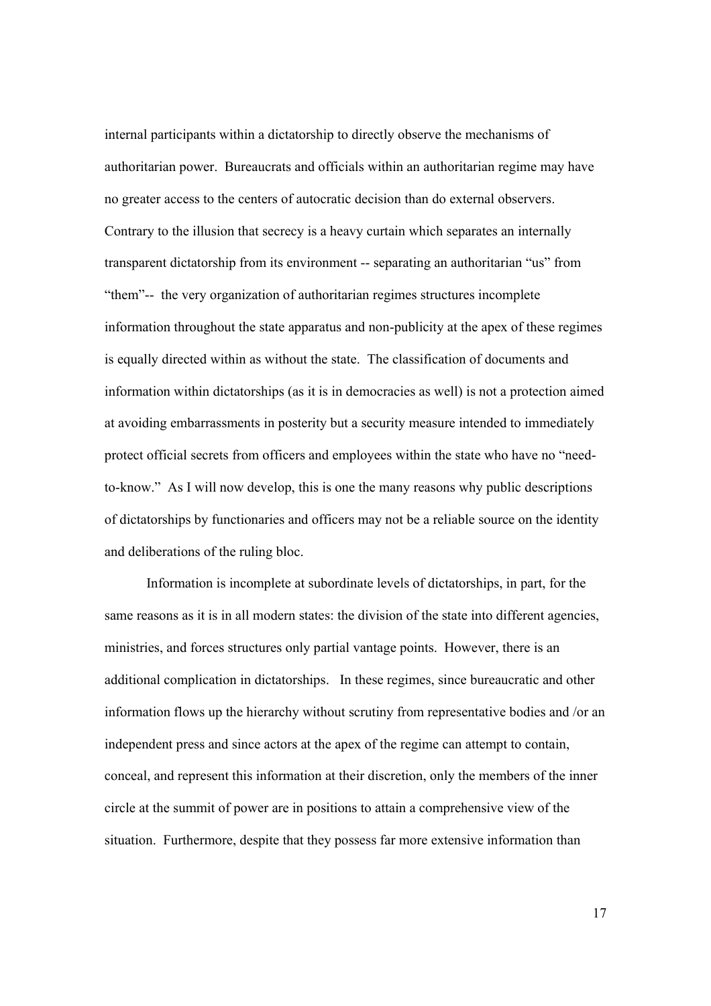internal participants within a dictatorship to directly observe the mechanisms of authoritarian power. Bureaucrats and officials within an authoritarian regime may have no greater access to the centers of autocratic decision than do external observers. Contrary to the illusion that secrecy is a heavy curtain which separates an internally transparent dictatorship from its environment -- separating an authoritarian "us" from "them"-- the very organization of authoritarian regimes structures incomplete information throughout the state apparatus and non-publicity at the apex of these regimes is equally directed within as without the state. The classification of documents and information within dictatorships (as it is in democracies as well) is not a protection aimed at avoiding embarrassments in posterity but a security measure intended to immediately protect official secrets from officers and employees within the state who have no "needto-know." As I will now develop, this is one the many reasons why public descriptions of dictatorships by functionaries and officers may not be a reliable source on the identity and deliberations of the ruling bloc.

 Information is incomplete at subordinate levels of dictatorships, in part, for the same reasons as it is in all modern states: the division of the state into different agencies, ministries, and forces structures only partial vantage points. However, there is an additional complication in dictatorships. In these regimes, since bureaucratic and other information flows up the hierarchy without scrutiny from representative bodies and /or an independent press and since actors at the apex of the regime can attempt to contain, conceal, and represent this information at their discretion, only the members of the inner circle at the summit of power are in positions to attain a comprehensive view of the situation. Furthermore, despite that they possess far more extensive information than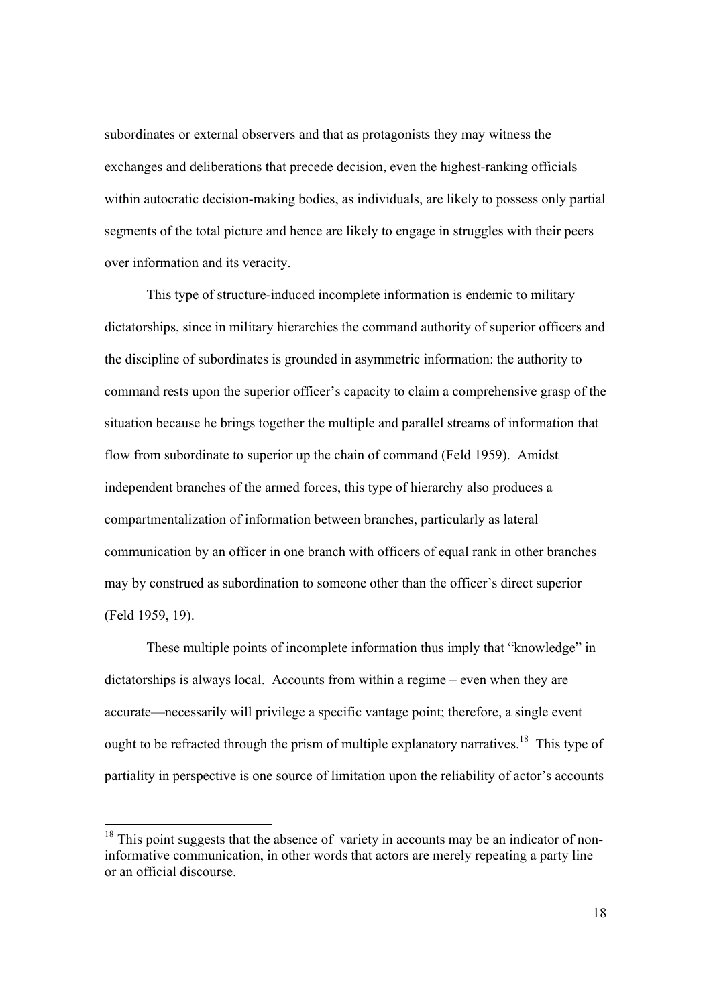subordinates or external observers and that as protagonists they may witness the exchanges and deliberations that precede decision, even the highest-ranking officials within autocratic decision-making bodies, as individuals, are likely to possess only partial segments of the total picture and hence are likely to engage in struggles with their peers over information and its veracity.

 This type of structure-induced incomplete information is endemic to military dictatorships, since in military hierarchies the command authority of superior officers and the discipline of subordinates is grounded in asymmetric information: the authority to command rests upon the superior officer's capacity to claim a comprehensive grasp of the situation because he brings together the multiple and parallel streams of information that flow from subordinate to superior up the chain of command (Feld 1959). Amidst independent branches of the armed forces, this type of hierarchy also produces a compartmentalization of information between branches, particularly as lateral communication by an officer in one branch with officers of equal rank in other branches may by construed as subordination to someone other than the officer's direct superior (Feld 1959, 19).

 These multiple points of incomplete information thus imply that "knowledge" in dictatorships is always local. Accounts from within a regime – even when they are accurate—necessarily will privilege a specific vantage point; therefore, a single event ought to be refracted through the prism of multiple explanatory narratives.<sup>18</sup> This type of partiality in perspective is one source of limitation upon the reliability of actor's accounts

 $18$  This point suggests that the absence of variety in accounts may be an indicator of noninformative communication, in other words that actors are merely repeating a party line or an official discourse.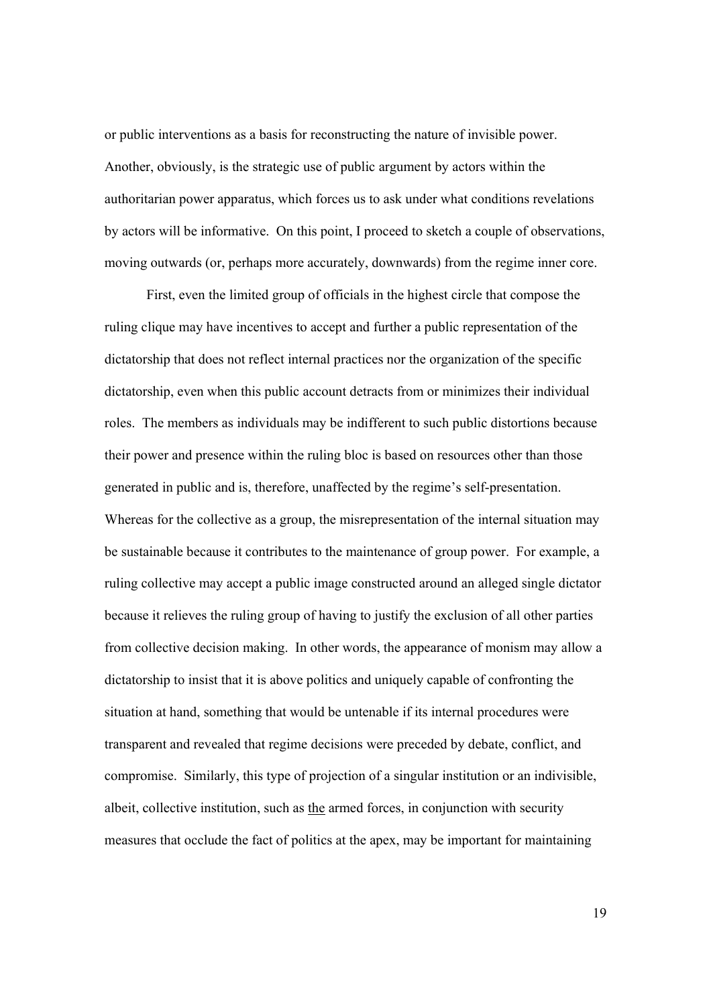or public interventions as a basis for reconstructing the nature of invisible power. Another, obviously, is the strategic use of public argument by actors within the authoritarian power apparatus, which forces us to ask under what conditions revelations by actors will be informative. On this point, I proceed to sketch a couple of observations, moving outwards (or, perhaps more accurately, downwards) from the regime inner core.

 First, even the limited group of officials in the highest circle that compose the ruling clique may have incentives to accept and further a public representation of the dictatorship that does not reflect internal practices nor the organization of the specific dictatorship, even when this public account detracts from or minimizes their individual roles. The members as individuals may be indifferent to such public distortions because their power and presence within the ruling bloc is based on resources other than those generated in public and is, therefore, unaffected by the regime's self-presentation. Whereas for the collective as a group, the misrepresentation of the internal situation may be sustainable because it contributes to the maintenance of group power. For example, a ruling collective may accept a public image constructed around an alleged single dictator because it relieves the ruling group of having to justify the exclusion of all other parties from collective decision making. In other words, the appearance of monism may allow a dictatorship to insist that it is above politics and uniquely capable of confronting the situation at hand, something that would be untenable if its internal procedures were transparent and revealed that regime decisions were preceded by debate, conflict, and compromise. Similarly, this type of projection of a singular institution or an indivisible, albeit, collective institution, such as the armed forces, in conjunction with security measures that occlude the fact of politics at the apex, may be important for maintaining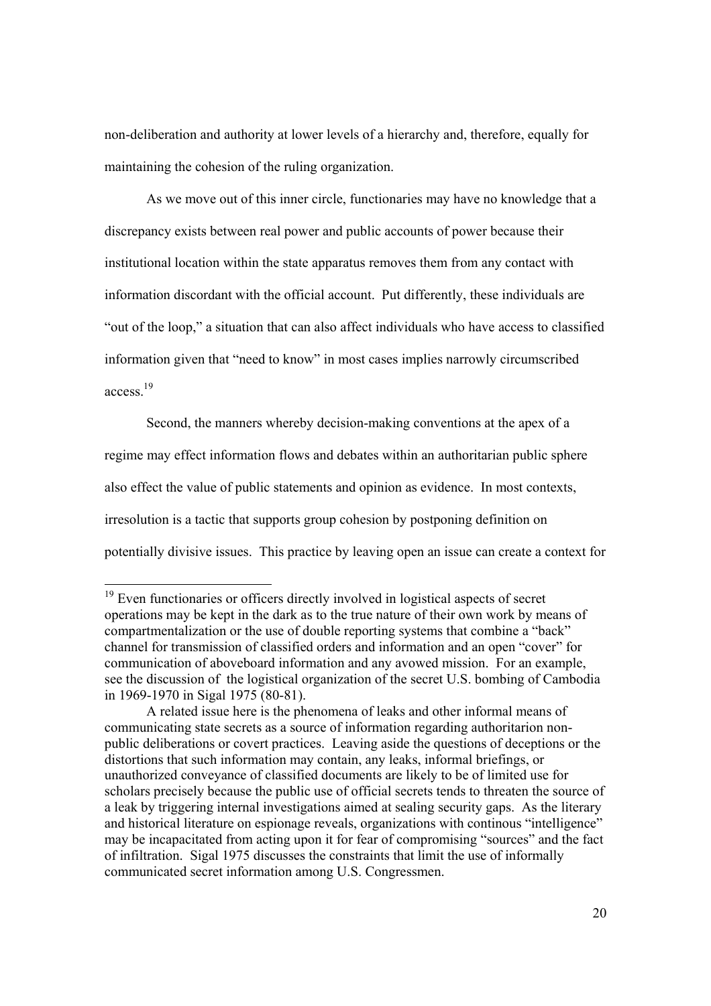non-deliberation and authority at lower levels of a hierarchy and, therefore, equally for maintaining the cohesion of the ruling organization.

 As we move out of this inner circle, functionaries may have no knowledge that a discrepancy exists between real power and public accounts of power because their institutional location within the state apparatus removes them from any contact with information discordant with the official account. Put differently, these individuals are "out of the loop," a situation that can also affect individuals who have access to classified information given that "need to know" in most cases implies narrowly circumscribed access.19

 Second, the manners whereby decision-making conventions at the apex of a regime may effect information flows and debates within an authoritarian public sphere also effect the value of public statements and opinion as evidence. In most contexts, irresolution is a tactic that supports group cohesion by postponing definition on potentially divisive issues. This practice by leaving open an issue can create a context for

 $19$  Even functionaries or officers directly involved in logistical aspects of secret operations may be kept in the dark as to the true nature of their own work by means of compartmentalization or the use of double reporting systems that combine a "back" channel for transmission of classified orders and information and an open "cover" for communication of aboveboard information and any avowed mission. For an example, see the discussion of the logistical organization of the secret U.S. bombing of Cambodia in 1969-1970 in Sigal 1975 (80-81).

A related issue here is the phenomena of leaks and other informal means of communicating state secrets as a source of information regarding authoritarion nonpublic deliberations or covert practices. Leaving aside the questions of deceptions or the distortions that such information may contain, any leaks, informal briefings, or unauthorized conveyance of classified documents are likely to be of limited use for scholars precisely because the public use of official secrets tends to threaten the source of a leak by triggering internal investigations aimed at sealing security gaps. As the literary and historical literature on espionage reveals, organizations with continous "intelligence" may be incapacitated from acting upon it for fear of compromising "sources" and the fact of infiltration. Sigal 1975 discusses the constraints that limit the use of informally communicated secret information among U.S. Congressmen.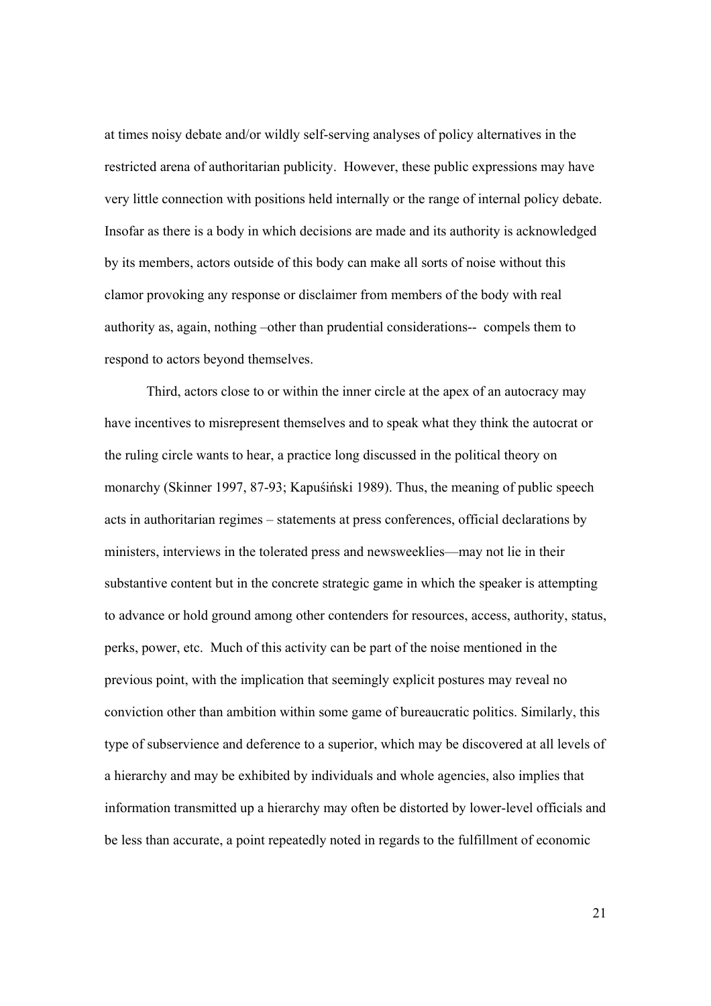at times noisy debate and/or wildly self-serving analyses of policy alternatives in the restricted arena of authoritarian publicity. However, these public expressions may have very little connection with positions held internally or the range of internal policy debate. Insofar as there is a body in which decisions are made and its authority is acknowledged by its members, actors outside of this body can make all sorts of noise without this clamor provoking any response or disclaimer from members of the body with real authority as, again, nothing –other than prudential considerations-- compels them to respond to actors beyond themselves.

 Third, actors close to or within the inner circle at the apex of an autocracy may have incentives to misrepresent themselves and to speak what they think the autocrat or the ruling circle wants to hear, a practice long discussed in the political theory on monarchy (Skinner 1997, 87-93; Kapuśiński 1989). Thus, the meaning of public speech acts in authoritarian regimes – statements at press conferences, official declarations by ministers, interviews in the tolerated press and newsweeklies—may not lie in their substantive content but in the concrete strategic game in which the speaker is attempting to advance or hold ground among other contenders for resources, access, authority, status, perks, power, etc. Much of this activity can be part of the noise mentioned in the previous point, with the implication that seemingly explicit postures may reveal no conviction other than ambition within some game of bureaucratic politics. Similarly, this type of subservience and deference to a superior, which may be discovered at all levels of a hierarchy and may be exhibited by individuals and whole agencies, also implies that information transmitted up a hierarchy may often be distorted by lower-level officials and be less than accurate, a point repeatedly noted in regards to the fulfillment of economic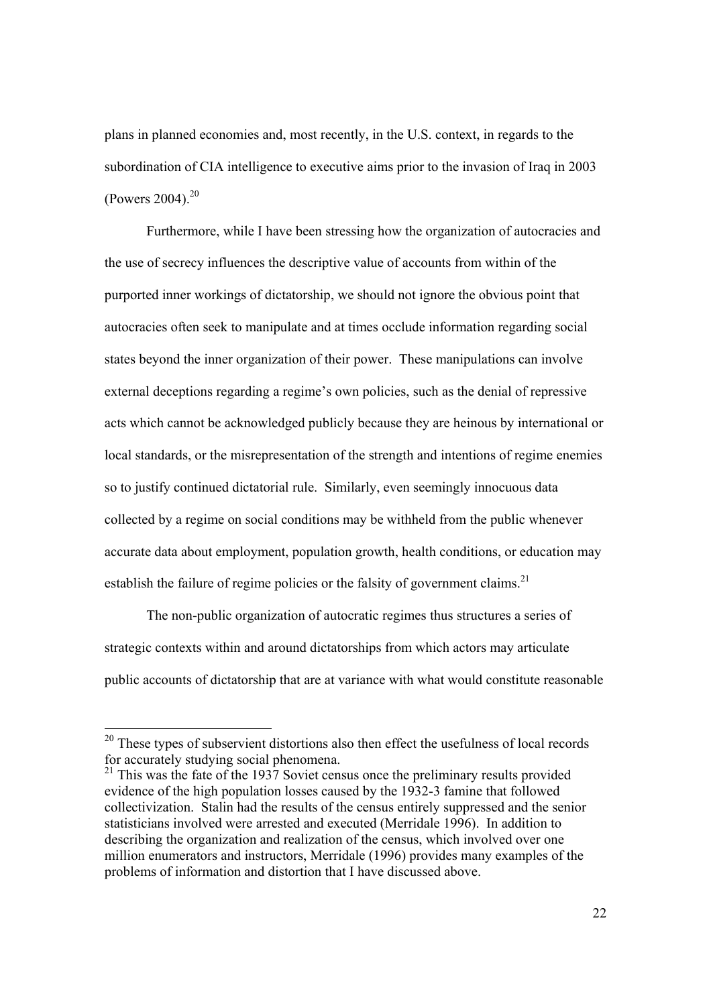plans in planned economies and, most recently, in the U.S. context, in regards to the subordination of CIA intelligence to executive aims prior to the invasion of Iraq in 2003 (Powers 2004). $^{20}$ 

 Furthermore, while I have been stressing how the organization of autocracies and the use of secrecy influences the descriptive value of accounts from within of the purported inner workings of dictatorship, we should not ignore the obvious point that autocracies often seek to manipulate and at times occlude information regarding social states beyond the inner organization of their power. These manipulations can involve external deceptions regarding a regime's own policies, such as the denial of repressive acts which cannot be acknowledged publicly because they are heinous by international or local standards, or the misrepresentation of the strength and intentions of regime enemies so to justify continued dictatorial rule. Similarly, even seemingly innocuous data collected by a regime on social conditions may be withheld from the public whenever accurate data about employment, population growth, health conditions, or education may establish the failure of regime policies or the falsity of government claims.<sup>21</sup>

 The non-public organization of autocratic regimes thus structures a series of strategic contexts within and around dictatorships from which actors may articulate public accounts of dictatorship that are at variance with what would constitute reasonable

 $20$  These types of subservient distortions also then effect the usefulness of local records for accurately studying social phenomena.

 $21$  This was the fate of the 1937 Soviet census once the preliminary results provided evidence of the high population losses caused by the 1932-3 famine that followed collectivization. Stalin had the results of the census entirely suppressed and the senior statisticians involved were arrested and executed (Merridale 1996). In addition to describing the organization and realization of the census, which involved over one million enumerators and instructors, Merridale (1996) provides many examples of the problems of information and distortion that I have discussed above.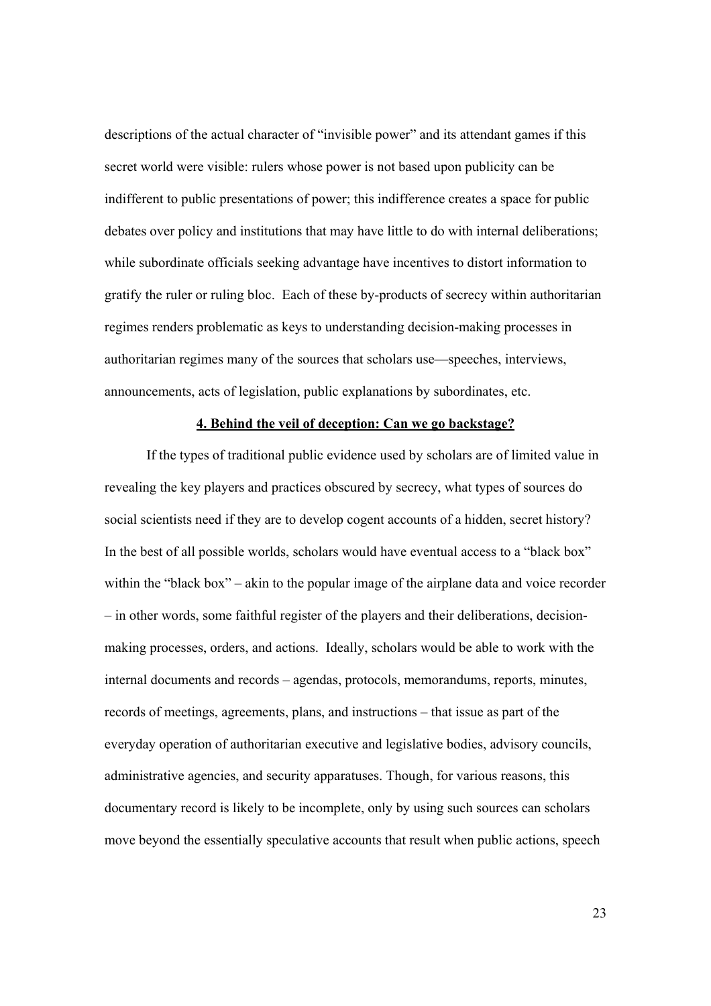descriptions of the actual character of "invisible power" and its attendant games if this secret world were visible: rulers whose power is not based upon publicity can be indifferent to public presentations of power; this indifference creates a space for public debates over policy and institutions that may have little to do with internal deliberations; while subordinate officials seeking advantage have incentives to distort information to gratify the ruler or ruling bloc. Each of these by-products of secrecy within authoritarian regimes renders problematic as keys to understanding decision-making processes in authoritarian regimes many of the sources that scholars use—speeches, interviews, announcements, acts of legislation, public explanations by subordinates, etc.

#### **4. Behind the veil of deception: Can we go backstage?**

 If the types of traditional public evidence used by scholars are of limited value in revealing the key players and practices obscured by secrecy, what types of sources do social scientists need if they are to develop cogent accounts of a hidden, secret history? In the best of all possible worlds, scholars would have eventual access to a "black box" within the "black box" – akin to the popular image of the airplane data and voice recorder – in other words, some faithful register of the players and their deliberations, decisionmaking processes, orders, and actions. Ideally, scholars would be able to work with the internal documents and records – agendas, protocols, memorandums, reports, minutes, records of meetings, agreements, plans, and instructions – that issue as part of the everyday operation of authoritarian executive and legislative bodies, advisory councils, administrative agencies, and security apparatuses. Though, for various reasons, this documentary record is likely to be incomplete, only by using such sources can scholars move beyond the essentially speculative accounts that result when public actions, speech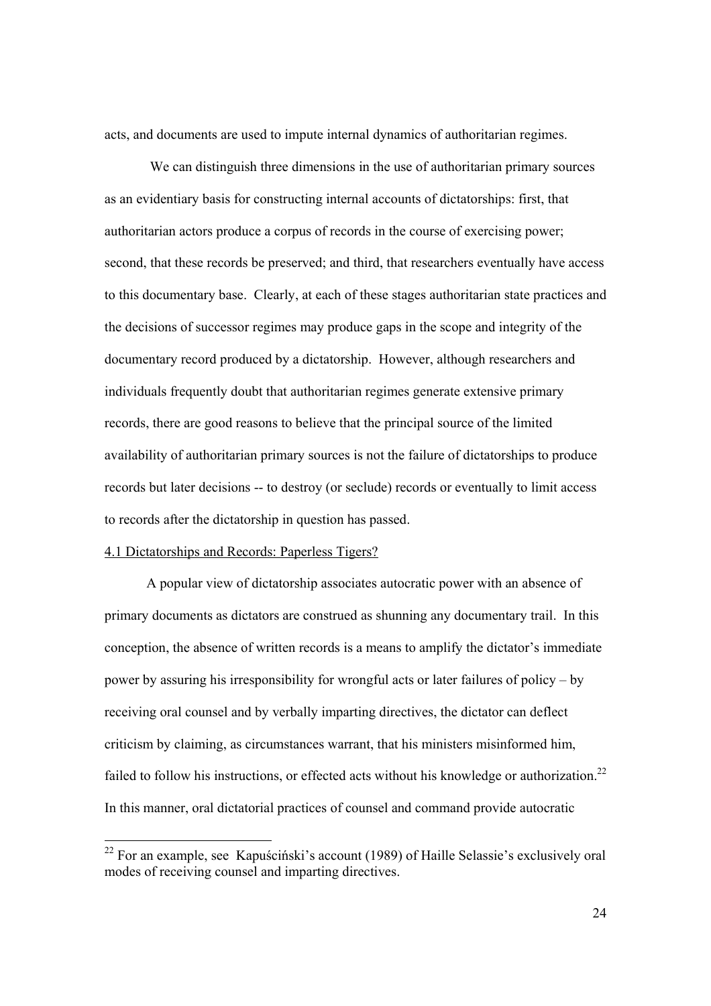acts, and documents are used to impute internal dynamics of authoritarian regimes.

We can distinguish three dimensions in the use of authoritarian primary sources as an evidentiary basis for constructing internal accounts of dictatorships: first, that authoritarian actors produce a corpus of records in the course of exercising power; second, that these records be preserved; and third, that researchers eventually have access to this documentary base. Clearly, at each of these stages authoritarian state practices and the decisions of successor regimes may produce gaps in the scope and integrity of the documentary record produced by a dictatorship. However, although researchers and individuals frequently doubt that authoritarian regimes generate extensive primary records, there are good reasons to believe that the principal source of the limited availability of authoritarian primary sources is not the failure of dictatorships to produce records but later decisions -- to destroy (or seclude) records or eventually to limit access to records after the dictatorship in question has passed.

#### 4.1 Dictatorships and Records: Paperless Tigers?

 A popular view of dictatorship associates autocratic power with an absence of primary documents as dictators are construed as shunning any documentary trail. In this conception, the absence of written records is a means to amplify the dictator's immediate power by assuring his irresponsibility for wrongful acts or later failures of policy – by receiving oral counsel and by verbally imparting directives, the dictator can deflect criticism by claiming, as circumstances warrant, that his ministers misinformed him, failed to follow his instructions, or effected acts without his knowledge or authorization.<sup>22</sup> In this manner, oral dictatorial practices of counsel and command provide autocratic

 $22$  For an example, see Kapuściński's account (1989) of Haille Selassie's exclusively oral modes of receiving counsel and imparting directives.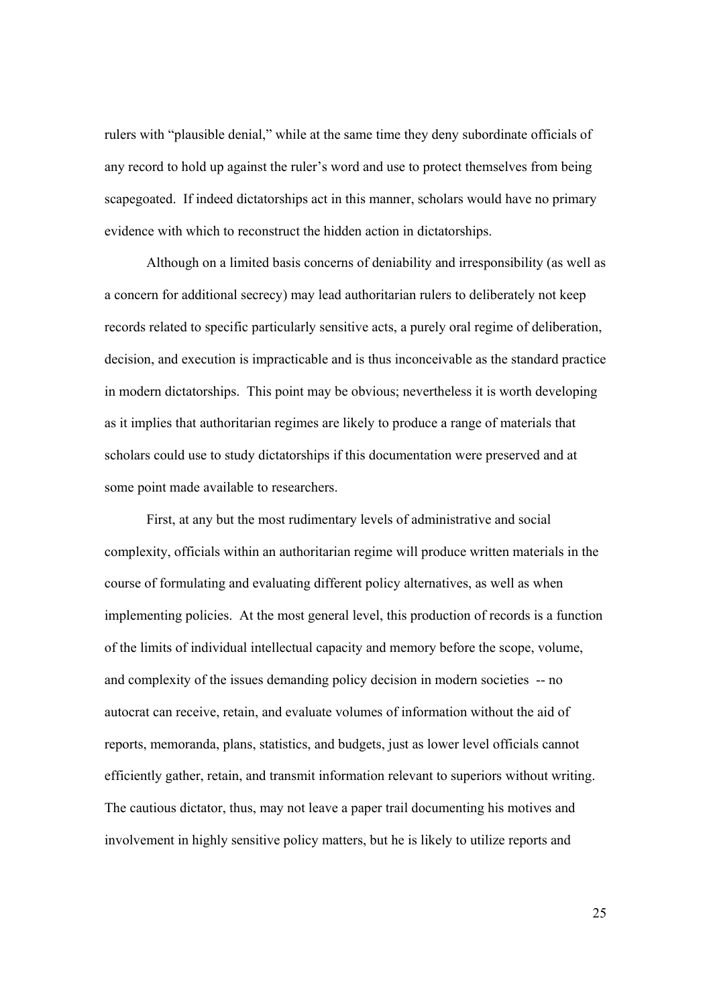rulers with "plausible denial," while at the same time they deny subordinate officials of any record to hold up against the ruler's word and use to protect themselves from being scapegoated. If indeed dictatorships act in this manner, scholars would have no primary evidence with which to reconstruct the hidden action in dictatorships.

 Although on a limited basis concerns of deniability and irresponsibility (as well as a concern for additional secrecy) may lead authoritarian rulers to deliberately not keep records related to specific particularly sensitive acts, a purely oral regime of deliberation, decision, and execution is impracticable and is thus inconceivable as the standard practice in modern dictatorships. This point may be obvious; nevertheless it is worth developing as it implies that authoritarian regimes are likely to produce a range of materials that scholars could use to study dictatorships if this documentation were preserved and at some point made available to researchers.

 First, at any but the most rudimentary levels of administrative and social complexity, officials within an authoritarian regime will produce written materials in the course of formulating and evaluating different policy alternatives, as well as when implementing policies. At the most general level, this production of records is a function of the limits of individual intellectual capacity and memory before the scope, volume, and complexity of the issues demanding policy decision in modern societies -- no autocrat can receive, retain, and evaluate volumes of information without the aid of reports, memoranda, plans, statistics, and budgets, just as lower level officials cannot efficiently gather, retain, and transmit information relevant to superiors without writing. The cautious dictator, thus, may not leave a paper trail documenting his motives and involvement in highly sensitive policy matters, but he is likely to utilize reports and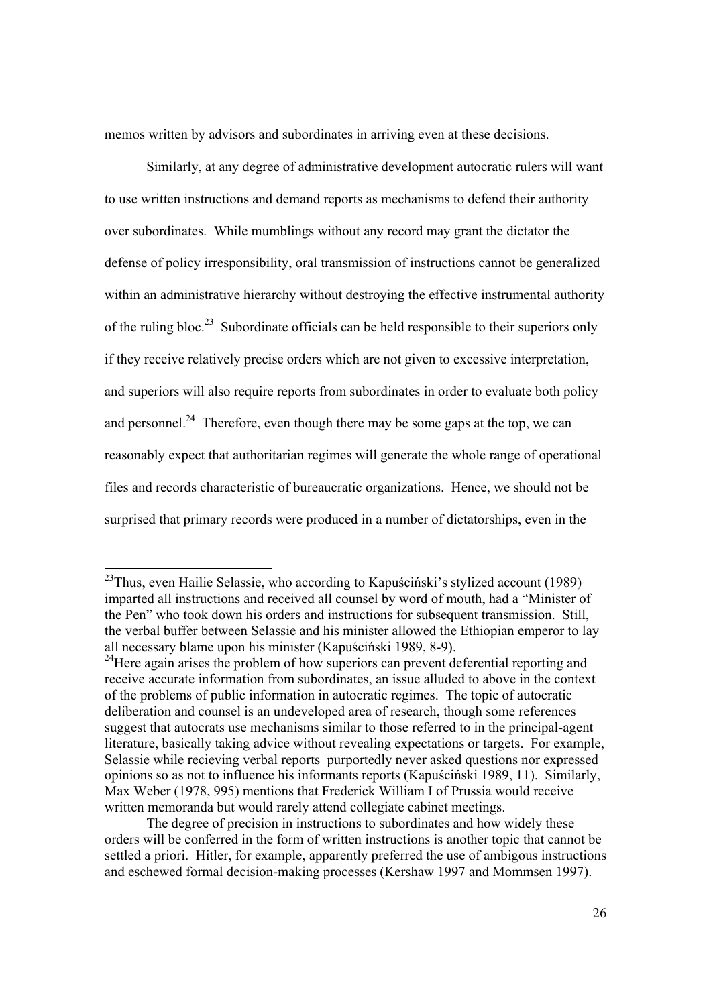memos written by advisors and subordinates in arriving even at these decisions.

 Similarly, at any degree of administrative development autocratic rulers will want to use written instructions and demand reports as mechanisms to defend their authority over subordinates. While mumblings without any record may grant the dictator the defense of policy irresponsibility, oral transmission of instructions cannot be generalized within an administrative hierarchy without destroying the effective instrumental authority of the ruling bloc.<sup>23</sup> Subordinate officials can be held responsible to their superiors only if they receive relatively precise orders which are not given to excessive interpretation, and superiors will also require reports from subordinates in order to evaluate both policy and personnel.<sup>24</sup> Therefore, even though there may be some gaps at the top, we can reasonably expect that authoritarian regimes will generate the whole range of operational files and records characteristic of bureaucratic organizations. Hence, we should not be surprised that primary records were produced in a number of dictatorships, even in the

l

 $^{23}$ Thus, even Hailie Selassie, who according to Kapuściński's stylized account (1989) imparted all instructions and received all counsel by word of mouth, had a "Minister of the Pen" who took down his orders and instructions for subsequent transmission. Still, the verbal buffer between Selassie and his minister allowed the Ethiopian emperor to lay all necessary blame upon his minister (Kapuściński 1989, 8-9).

 $^{24}$ Here again arises the problem of how superiors can prevent deferential reporting and receive accurate information from subordinates, an issue alluded to above in the context of the problems of public information in autocratic regimes. The topic of autocratic deliberation and counsel is an undeveloped area of research, though some references suggest that autocrats use mechanisms similar to those referred to in the principal-agent literature, basically taking advice without revealing expectations or targets. For example, Selassie while recieving verbal reports purportedly never asked questions nor expressed opinions so as not to influence his informants reports (Kapuściński 1989, 11). Similarly, Max Weber (1978, 995) mentions that Frederick William I of Prussia would receive written memoranda but would rarely attend collegiate cabinet meetings.

The degree of precision in instructions to subordinates and how widely these orders will be conferred in the form of written instructions is another topic that cannot be settled a priori. Hitler, for example, apparently preferred the use of ambigous instructions and eschewed formal decision-making processes (Kershaw 1997 and Mommsen 1997).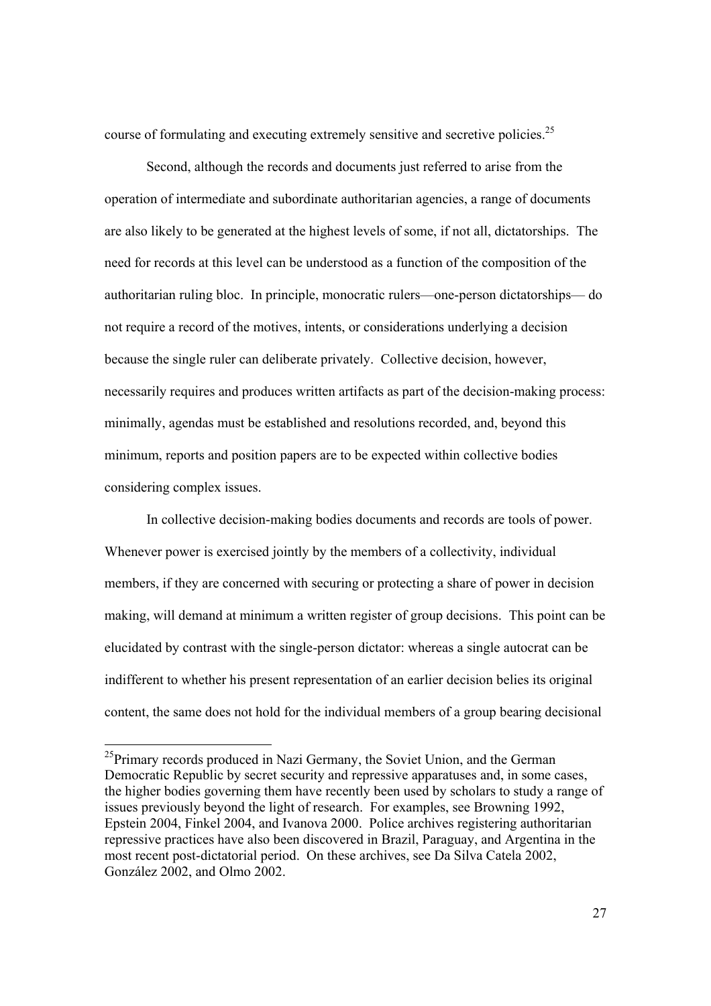course of formulating and executing extremely sensitive and secretive policies.<sup>25</sup>

 Second, although the records and documents just referred to arise from the operation of intermediate and subordinate authoritarian agencies, a range of documents are also likely to be generated at the highest levels of some, if not all, dictatorships. The need for records at this level can be understood as a function of the composition of the authoritarian ruling bloc. In principle, monocratic rulers—one-person dictatorships— do not require a record of the motives, intents, or considerations underlying a decision because the single ruler can deliberate privately. Collective decision, however, necessarily requires and produces written artifacts as part of the decision-making process: minimally, agendas must be established and resolutions recorded, and, beyond this minimum, reports and position papers are to be expected within collective bodies considering complex issues.

 In collective decision-making bodies documents and records are tools of power. Whenever power is exercised jointly by the members of a collectivity, individual members, if they are concerned with securing or protecting a share of power in decision making, will demand at minimum a written register of group decisions. This point can be elucidated by contrast with the single-person dictator: whereas a single autocrat can be indifferent to whether his present representation of an earlier decision belies its original content, the same does not hold for the individual members of a group bearing decisional

 $^{25}$ Primary records produced in Nazi Germany, the Soviet Union, and the German Democratic Republic by secret security and repressive apparatuses and, in some cases, the higher bodies governing them have recently been used by scholars to study a range of issues previously beyond the light of research. For examples, see Browning 1992, Epstein 2004, Finkel 2004, and Ivanova 2000. Police archives registering authoritarian repressive practices have also been discovered in Brazil, Paraguay, and Argentina in the most recent post-dictatorial period. On these archives, see Da Silva Catela 2002, González 2002, and Olmo 2002.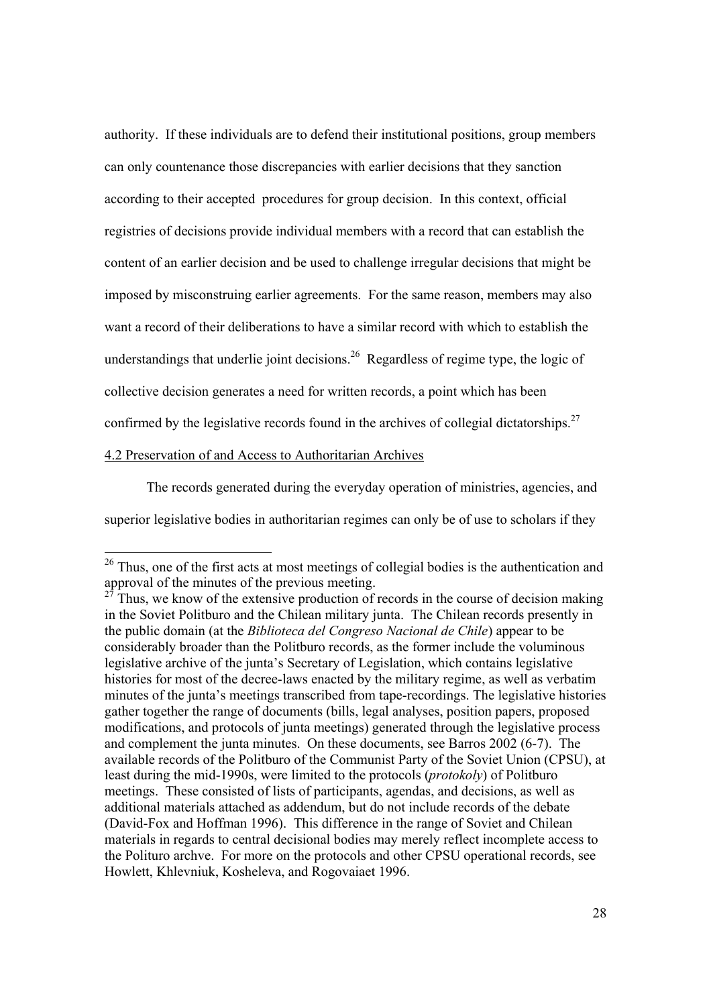authority. If these individuals are to defend their institutional positions, group members can only countenance those discrepancies with earlier decisions that they sanction according to their accepted procedures for group decision. In this context, official registries of decisions provide individual members with a record that can establish the content of an earlier decision and be used to challenge irregular decisions that might be imposed by misconstruing earlier agreements. For the same reason, members may also want a record of their deliberations to have a similar record with which to establish the understandings that underlie joint decisions.<sup>26</sup> Regardless of regime type, the logic of collective decision generates a need for written records, a point which has been confirmed by the legislative records found in the archives of collegial dictatorships.<sup>27</sup>

## 4.2 Preservation of and Access to Authoritarian Archives

 $\overline{a}$ 

 The records generated during the everyday operation of ministries, agencies, and superior legislative bodies in authoritarian regimes can only be of use to scholars if they

 $26$  Thus, one of the first acts at most meetings of collegial bodies is the authentication and approval of the minutes of the previous meeting.

Thus, we know of the extensive production of records in the course of decision making in the Soviet Politburo and the Chilean military junta. The Chilean records presently in the public domain (at the *Biblioteca del Congreso Nacional de Chile*) appear to be considerably broader than the Politburo records, as the former include the voluminous legislative archive of the junta's Secretary of Legislation, which contains legislative histories for most of the decree-laws enacted by the military regime, as well as verbatim minutes of the junta's meetings transcribed from tape-recordings. The legislative histories gather together the range of documents (bills, legal analyses, position papers, proposed modifications, and protocols of junta meetings) generated through the legislative process and complement the junta minutes. On these documents, see Barros 2002 (6-7). The available records of the Politburo of the Communist Party of the Soviet Union (CPSU), at least during the mid-1990s, were limited to the protocols (*protokoly*) of Politburo meetings. These consisted of lists of participants, agendas, and decisions, as well as additional materials attached as addendum, but do not include records of the debate (David-Fox and Hoffman 1996). This difference in the range of Soviet and Chilean materials in regards to central decisional bodies may merely reflect incomplete access to the Polituro archve. For more on the protocols and other CPSU operational records, see Howlett, Khlevniuk, Kosheleva, and Rogovaiaet 1996.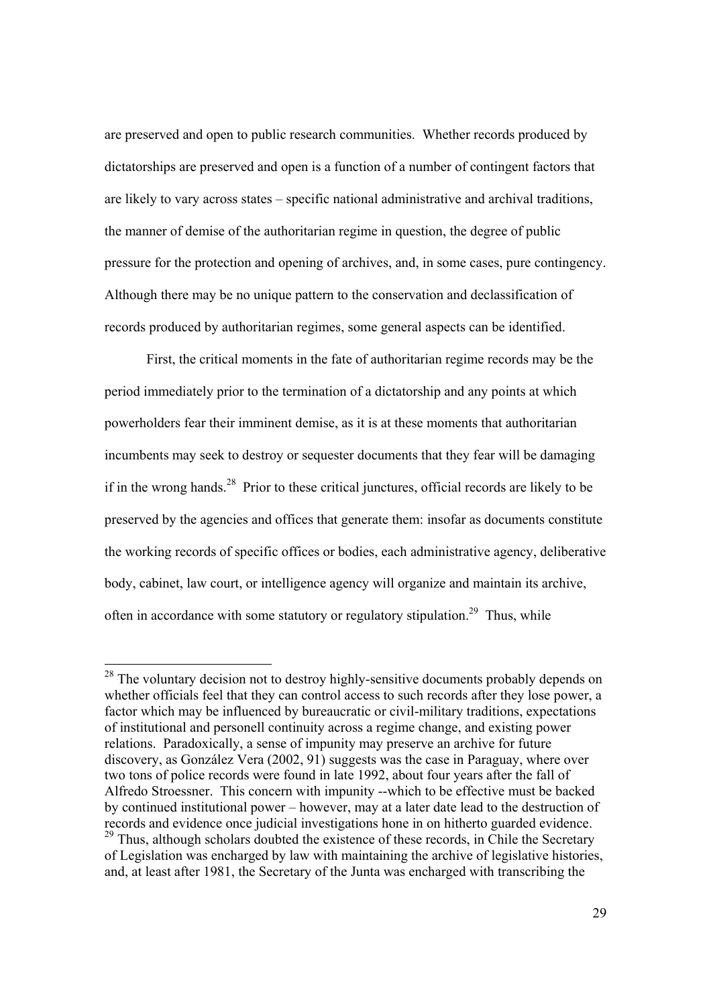are preserved and open to public research communities. Whether records produced by dictatorships are preserved and open is a function of a number of contingent factors that are likely to vary across states – specific national administrative and archival traditions, the manner of demise of the authoritarian regime in question, the degree of public pressure for the protection and opening of archives, and, in some cases, pure contingency. Although there may be no unique pattern to the conservation and declassification of records produced by authoritarian regimes, some general aspects can be identified.

 First, the critical moments in the fate of authoritarian regime records may be the period immediately prior to the termination of a dictatorship and any points at which powerholders fear their imminent demise, as it is at these moments that authoritarian incumbents may seek to destroy or sequester documents that they fear will be damaging if in the wrong hands.<sup>28</sup> Prior to these critical junctures, official records are likely to be preserved by the agencies and offices that generate them: insofar as documents constitute the working records of specific offices or bodies, each administrative agency, deliberative body, cabinet, law court, or intelligence agency will organize and maintain its archive, often in accordance with some statutory or regulatory stipulation.<sup>29</sup> Thus, while

 $28$  The voluntary decision not to destroy highly-sensitive documents probably depends on whether officials feel that they can control access to such records after they lose power, a factor which may be influenced by bureaucratic or civil-military traditions, expectations of institutional and personell continuity across a regime change, and existing power relations. Paradoxically, a sense of impunity may preserve an archive for future discovery, as González Vera (2002, 91) suggests was the case in Paraguay, where over two tons of police records were found in late 1992, about four years after the fall of Alfredo Stroessner. This concern with impunity --which to be effective must be backed by continued institutional power – however, may at a later date lead to the destruction of records and evidence once judicial investigations hone in on hitherto guarded evidence.  $29$  Thus, although scholars doubted the existence of these records, in Chile the Secretary of Legislation was encharged by law with maintaining the archive of legislative histories, and, at least after 1981, the Secretary of the Junta was encharged with transcribing the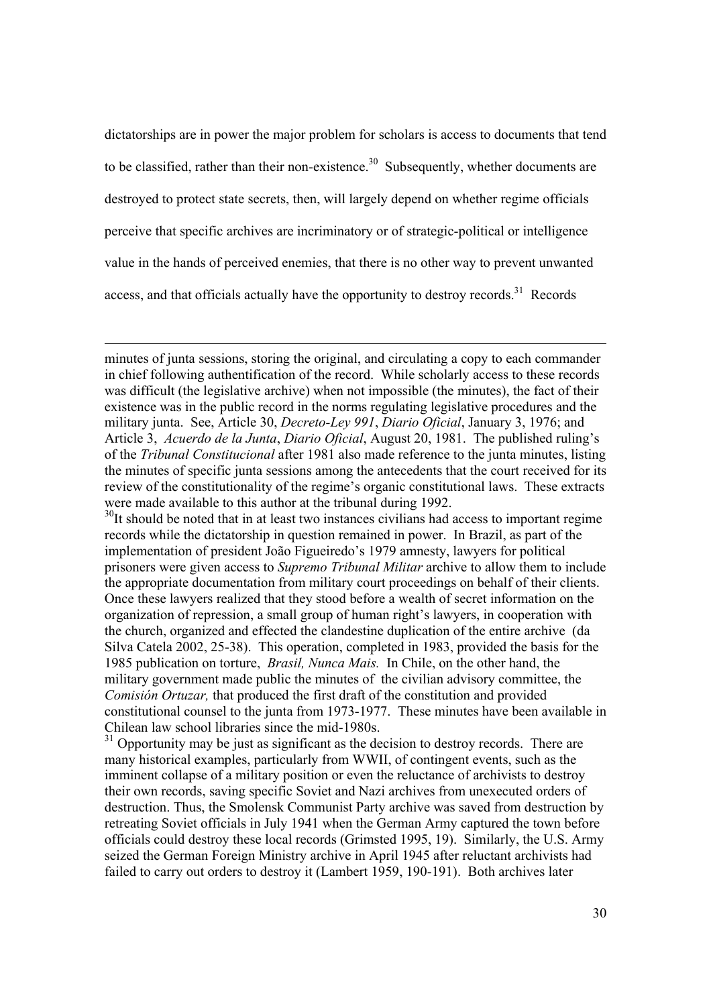dictatorships are in power the major problem for scholars is access to documents that tend to be classified, rather than their non-existence.<sup>30</sup> Subsequently, whether documents are destroyed to protect state secrets, then, will largely depend on whether regime officials perceive that specific archives are incriminatory or of strategic-political or intelligence value in the hands of perceived enemies, that there is no other way to prevent unwanted access, and that officials actually have the opportunity to destroy records.<sup>31</sup> Records

minutes of junta sessions, storing the original, and circulating a copy to each commander in chief following authentification of the record. While scholarly access to these records was difficult (the legislative archive) when not impossible (the minutes), the fact of their existence was in the public record in the norms regulating legislative procedures and the military junta. See, Article 30, *Decreto-Ley 991*, *Diario Oficial*, January 3, 1976; and Article 3, *Acuerdo de la Junta*, *Diario Oficial*, August 20, 1981. The published ruling's of the *Tribunal Constitucional* after 1981 also made reference to the junta minutes, listing the minutes of specific junta sessions among the antecedents that the court received for its review of the constitutionality of the regime's organic constitutional laws. These extracts were made available to this author at the tribunal during 1992.

 $30$ It should be noted that in at least two instances civilians had access to important regime records while the dictatorship in question remained in power. In Brazil, as part of the implementation of president João Figueiredo's 1979 amnesty, lawyers for political prisoners were given access to *Supremo Tribunal Militar* archive to allow them to include the appropriate documentation from military court proceedings on behalf of their clients. Once these lawyers realized that they stood before a wealth of secret information on the organization of repression, a small group of human right's lawyers, in cooperation with the church, organized and effected the clandestine duplication of the entire archive (da Silva Catela 2002, 25-38). This operation, completed in 1983, provided the basis for the 1985 publication on torture, *Brasil, Nunca Mais.* In Chile, on the other hand, the military government made public the minutes of the civilian advisory committee, the *Comisión Ortuzar,* that produced the first draft of the constitution and provided constitutional counsel to the junta from 1973-1977. These minutes have been available in Chilean law school libraries since the mid-1980s.

 $31$  Opportunity may be just as significant as the decision to destroy records. There are many historical examples, particularly from WWII, of contingent events, such as the imminent collapse of a military position or even the reluctance of archivists to destroy their own records, saving specific Soviet and Nazi archives from unexecuted orders of destruction. Thus, the Smolensk Communist Party archive was saved from destruction by retreating Soviet officials in July 1941 when the German Army captured the town before officials could destroy these local records (Grimsted 1995, 19). Similarly, the U.S. Army seized the German Foreign Ministry archive in April 1945 after reluctant archivists had failed to carry out orders to destroy it (Lambert 1959, 190-191). Both archives later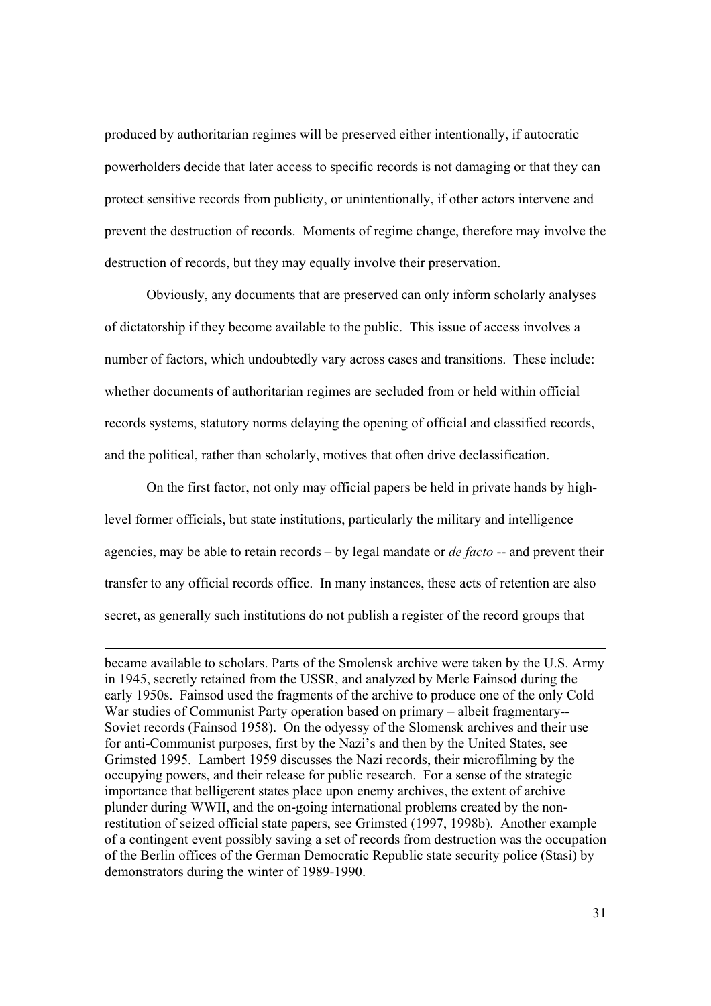produced by authoritarian regimes will be preserved either intentionally, if autocratic powerholders decide that later access to specific records is not damaging or that they can protect sensitive records from publicity, or unintentionally, if other actors intervene and prevent the destruction of records. Moments of regime change, therefore may involve the destruction of records, but they may equally involve their preservation.

 Obviously, any documents that are preserved can only inform scholarly analyses of dictatorship if they become available to the public. This issue of access involves a number of factors, which undoubtedly vary across cases and transitions. These include: whether documents of authoritarian regimes are secluded from or held within official records systems, statutory norms delaying the opening of official and classified records, and the political, rather than scholarly, motives that often drive declassification.

 On the first factor, not only may official papers be held in private hands by highlevel former officials, but state institutions, particularly the military and intelligence agencies, may be able to retain records – by legal mandate or *de facto* -- and prevent their transfer to any official records office. In many instances, these acts of retention are also secret, as generally such institutions do not publish a register of the record groups that

became available to scholars. Parts of the Smolensk archive were taken by the U.S. Army in 1945, secretly retained from the USSR, and analyzed by Merle Fainsod during the early 1950s. Fainsod used the fragments of the archive to produce one of the only Cold War studies of Communist Party operation based on primary – albeit fragmentary-- Soviet records (Fainsod 1958). On the odyessy of the Slomensk archives and their use for anti-Communist purposes, first by the Nazi's and then by the United States, see Grimsted 1995. Lambert 1959 discusses the Nazi records, their microfilming by the occupying powers, and their release for public research. For a sense of the strategic importance that belligerent states place upon enemy archives, the extent of archive plunder during WWII, and the on-going international problems created by the nonrestitution of seized official state papers, see Grimsted (1997, 1998b). Another example of a contingent event possibly saving a set of records from destruction was the occupation of the Berlin offices of the German Democratic Republic state security police (Stasi) by demonstrators during the winter of 1989-1990.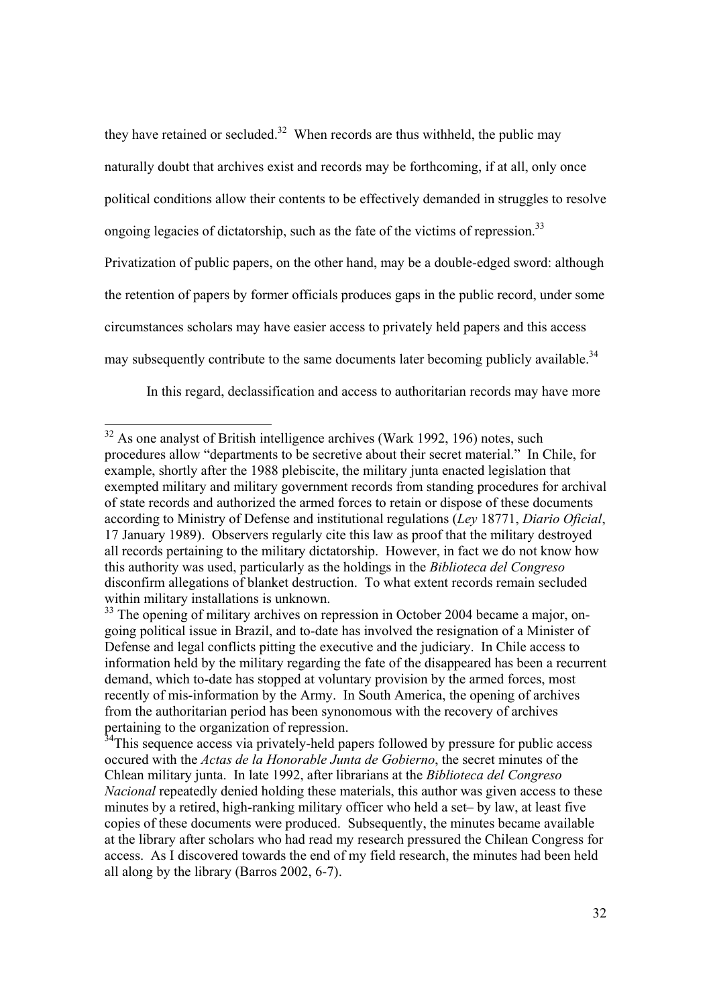they have retained or secluded.<sup>32</sup> When records are thus withheld, the public may naturally doubt that archives exist and records may be forthcoming, if at all, only once political conditions allow their contents to be effectively demanded in struggles to resolve ongoing legacies of dictatorship, such as the fate of the victims of repression.<sup>33</sup> Privatization of public papers, on the other hand, may be a double-edged sword: although the retention of papers by former officials produces gaps in the public record, under some circumstances scholars may have easier access to privately held papers and this access

may subsequently contribute to the same documents later becoming publicly available.<sup>34</sup>

In this regard, declassification and access to authoritarian records may have more

 $32$  As one analyst of British intelligence archives (Wark 1992, 196) notes, such procedures allow "departments to be secretive about their secret material." In Chile, for example, shortly after the 1988 plebiscite, the military junta enacted legislation that exempted military and military government records from standing procedures for archival of state records and authorized the armed forces to retain or dispose of these documents according to Ministry of Defense and institutional regulations (*Ley* 18771, *Diario Oficial*, 17 January 1989). Observers regularly cite this law as proof that the military destroyed all records pertaining to the military dictatorship. However, in fact we do not know how this authority was used, particularly as the holdings in the *Biblioteca del Congreso* disconfirm allegations of blanket destruction. To what extent records remain secluded within military installations is unknown.

<sup>&</sup>lt;sup>33</sup> The opening of military archives on repression in October 2004 became a major, ongoing political issue in Brazil, and to-date has involved the resignation of a Minister of Defense and legal conflicts pitting the executive and the judiciary. In Chile access to information held by the military regarding the fate of the disappeared has been a recurrent demand, which to-date has stopped at voluntary provision by the armed forces, most recently of mis-information by the Army. In South America, the opening of archives from the authoritarian period has been synonomous with the recovery of archives pertaining to the organization of repression.

<sup>&</sup>lt;sup>34</sup>This sequence access via privately-held papers followed by pressure for public access occured with the *Actas de la Honorable Junta de Gobierno*, the secret minutes of the Chlean military junta. In late 1992, after librarians at the *Biblioteca del Congreso Nacional* repeatedly denied holding these materials, this author was given access to these minutes by a retired, high-ranking military officer who held a set– by law, at least five copies of these documents were produced. Subsequently, the minutes became available at the library after scholars who had read my research pressured the Chilean Congress for access. As I discovered towards the end of my field research, the minutes had been held all along by the library (Barros 2002, 6-7).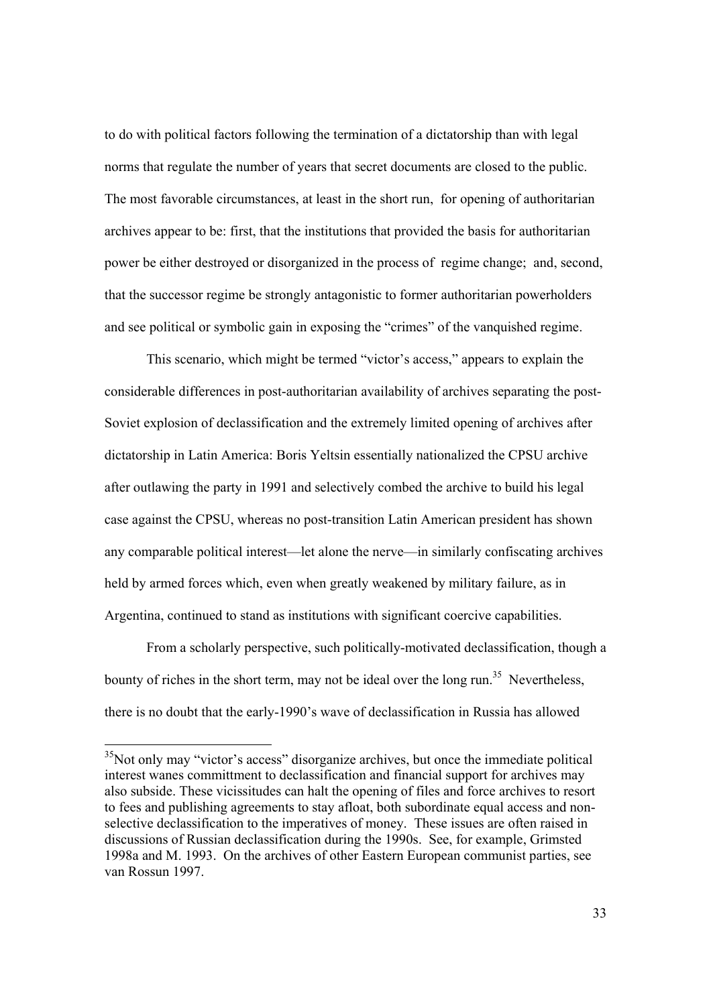to do with political factors following the termination of a dictatorship than with legal norms that regulate the number of years that secret documents are closed to the public. The most favorable circumstances, at least in the short run, for opening of authoritarian archives appear to be: first, that the institutions that provided the basis for authoritarian power be either destroyed or disorganized in the process of regime change; and, second, that the successor regime be strongly antagonistic to former authoritarian powerholders and see political or symbolic gain in exposing the "crimes" of the vanquished regime.

 This scenario, which might be termed "victor's access," appears to explain the considerable differences in post-authoritarian availability of archives separating the post-Soviet explosion of declassification and the extremely limited opening of archives after dictatorship in Latin America: Boris Yeltsin essentially nationalized the CPSU archive after outlawing the party in 1991 and selectively combed the archive to build his legal case against the CPSU, whereas no post-transition Latin American president has shown any comparable political interest—let alone the nerve—in similarly confiscating archives held by armed forces which, even when greatly weakened by military failure, as in Argentina, continued to stand as institutions with significant coercive capabilities.

 From a scholarly perspective, such politically-motivated declassification, though a bounty of riches in the short term, may not be ideal over the long run.<sup>35</sup> Nevertheless, there is no doubt that the early-1990's wave of declassification in Russia has allowed

<sup>&</sup>lt;sup>35</sup>Not only may "victor's access" disorganize archives, but once the immediate political interest wanes committment to declassification and financial support for archives may also subside. These vicissitudes can halt the opening of files and force archives to resort to fees and publishing agreements to stay afloat, both subordinate equal access and nonselective declassification to the imperatives of money. These issues are often raised in discussions of Russian declassification during the 1990s. See, for example, Grimsted 1998a and M. 1993. On the archives of other Eastern European communist parties, see van Rossun 1997.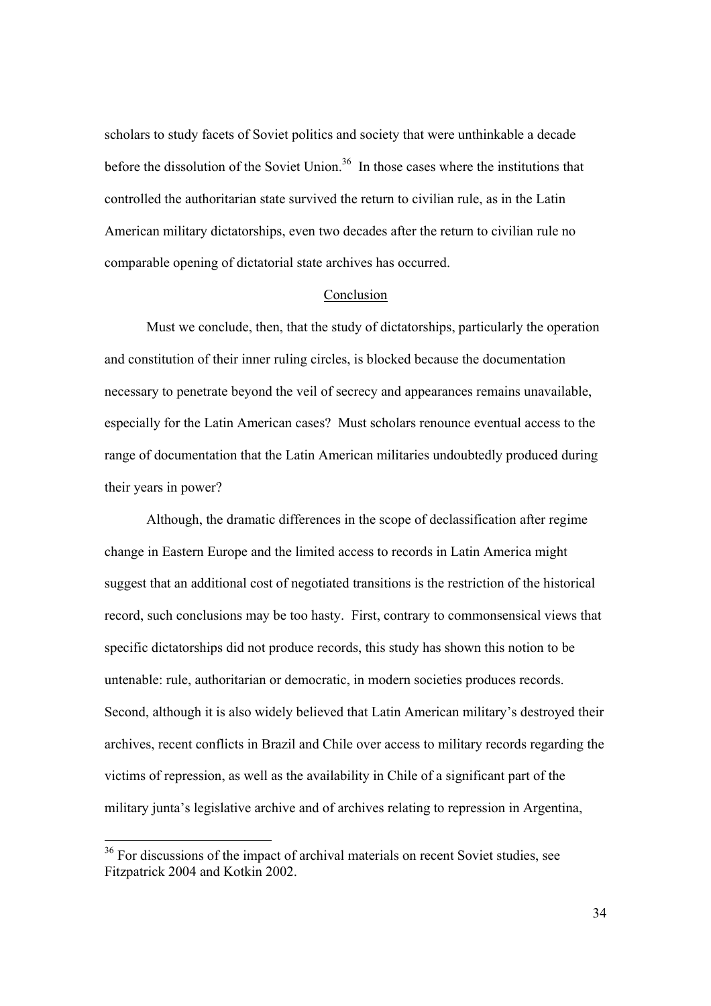scholars to study facets of Soviet politics and society that were unthinkable a decade before the dissolution of the Soviet Union.<sup>36</sup> In those cases where the institutions that controlled the authoritarian state survived the return to civilian rule, as in the Latin American military dictatorships, even two decades after the return to civilian rule no comparable opening of dictatorial state archives has occurred.

#### Conclusion

 Must we conclude, then, that the study of dictatorships, particularly the operation and constitution of their inner ruling circles, is blocked because the documentation necessary to penetrate beyond the veil of secrecy and appearances remains unavailable, especially for the Latin American cases? Must scholars renounce eventual access to the range of documentation that the Latin American militaries undoubtedly produced during their years in power?

 Although, the dramatic differences in the scope of declassification after regime change in Eastern Europe and the limited access to records in Latin America might suggest that an additional cost of negotiated transitions is the restriction of the historical record, such conclusions may be too hasty. First, contrary to commonsensical views that specific dictatorships did not produce records, this study has shown this notion to be untenable: rule, authoritarian or democratic, in modern societies produces records. Second, although it is also widely believed that Latin American military's destroyed their archives, recent conflicts in Brazil and Chile over access to military records regarding the victims of repression, as well as the availability in Chile of a significant part of the military junta's legislative archive and of archives relating to repression in Argentina,

<sup>&</sup>lt;sup>36</sup> For discussions of the impact of archival materials on recent Soviet studies, see Fitzpatrick 2004 and Kotkin 2002.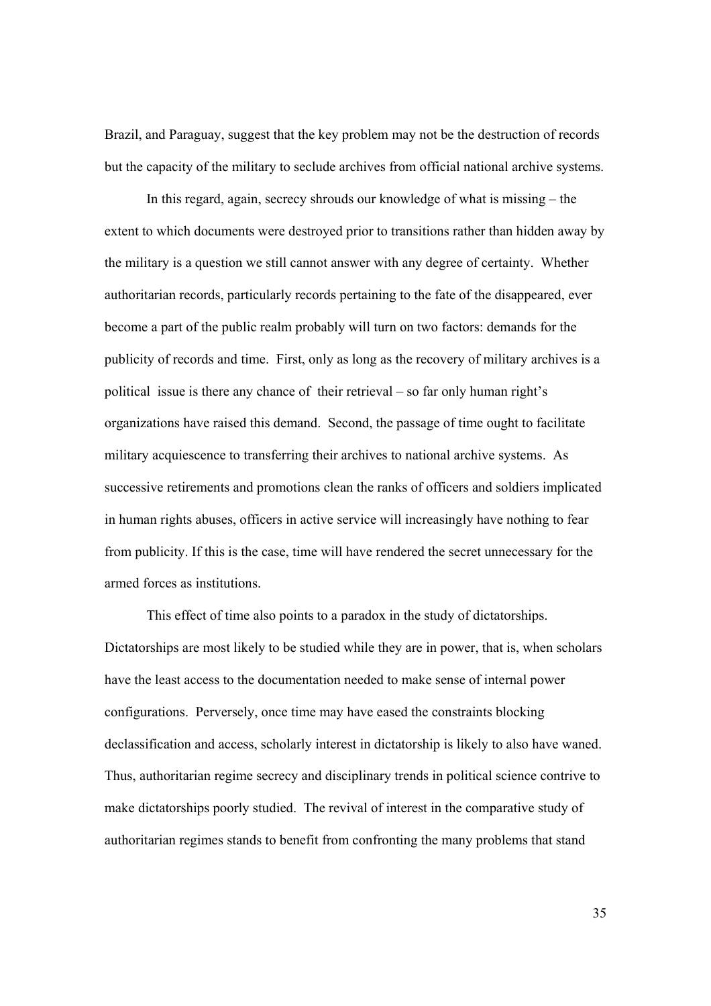Brazil, and Paraguay, suggest that the key problem may not be the destruction of records but the capacity of the military to seclude archives from official national archive systems.

 In this regard, again, secrecy shrouds our knowledge of what is missing – the extent to which documents were destroyed prior to transitions rather than hidden away by the military is a question we still cannot answer with any degree of certainty. Whether authoritarian records, particularly records pertaining to the fate of the disappeared, ever become a part of the public realm probably will turn on two factors: demands for the publicity of records and time. First, only as long as the recovery of military archives is a political issue is there any chance of their retrieval – so far only human right's organizations have raised this demand. Second, the passage of time ought to facilitate military acquiescence to transferring their archives to national archive systems. As successive retirements and promotions clean the ranks of officers and soldiers implicated in human rights abuses, officers in active service will increasingly have nothing to fear from publicity. If this is the case, time will have rendered the secret unnecessary for the armed forces as institutions.

 This effect of time also points to a paradox in the study of dictatorships. Dictatorships are most likely to be studied while they are in power, that is, when scholars have the least access to the documentation needed to make sense of internal power configurations. Perversely, once time may have eased the constraints blocking declassification and access, scholarly interest in dictatorship is likely to also have waned. Thus, authoritarian regime secrecy and disciplinary trends in political science contrive to make dictatorships poorly studied. The revival of interest in the comparative study of authoritarian regimes stands to benefit from confronting the many problems that stand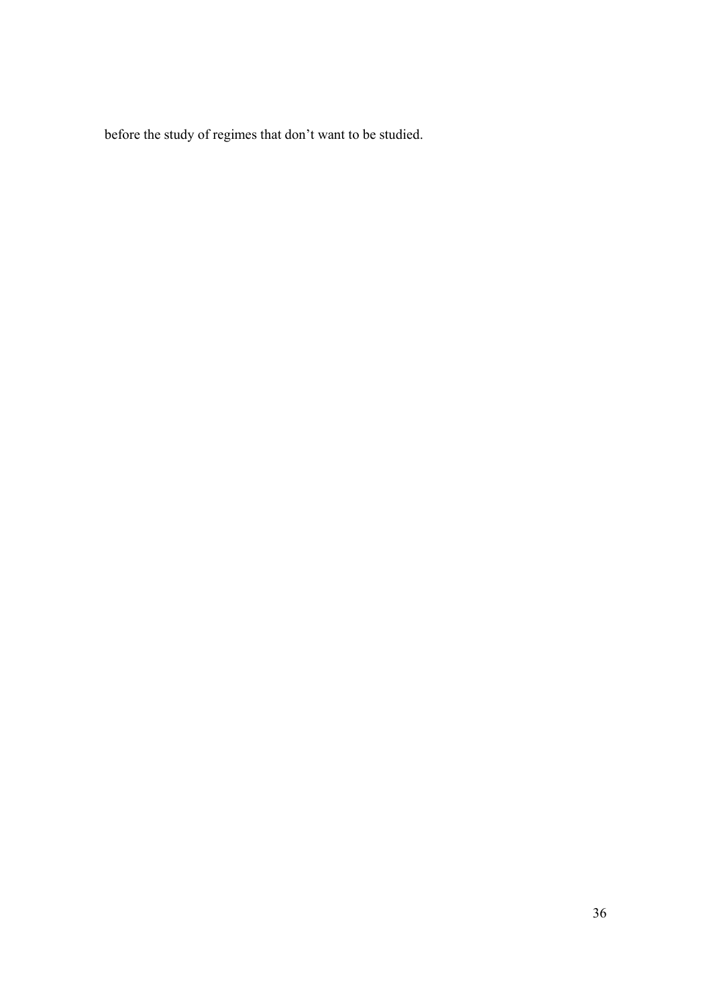before the study of regimes that don't want to be studied.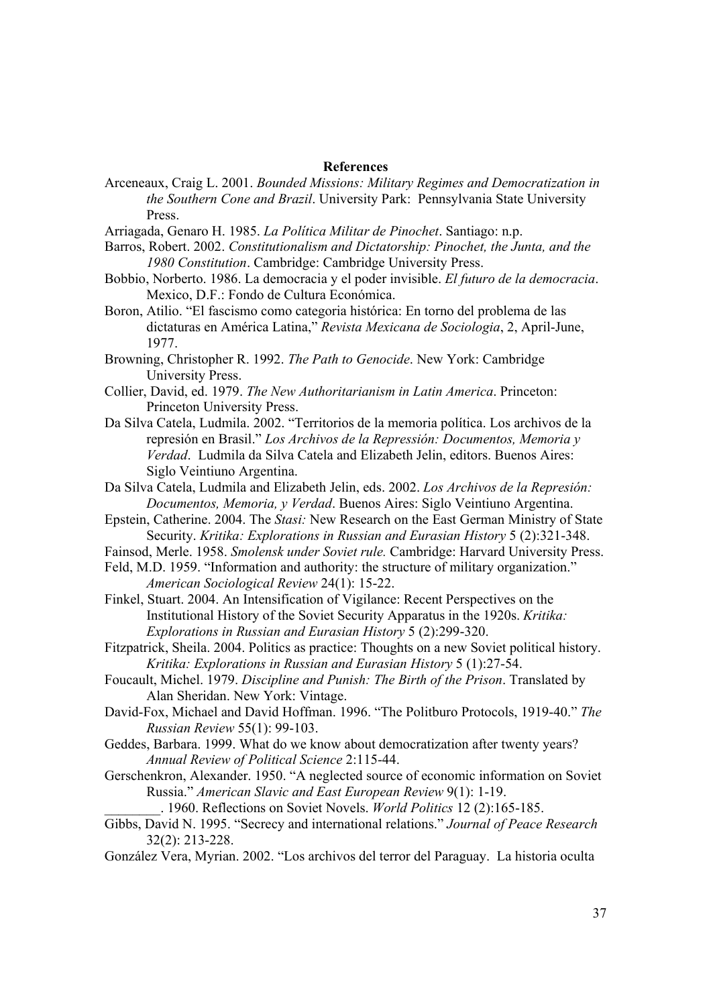#### **References**

- Arceneaux, Craig L. 2001. *Bounded Missions: Military Regimes and Democratization in the Southern Cone and Brazil*. University Park: Pennsylvania State University Press.
- Arriagada, Genaro H. 1985. *La Política Militar de Pinochet*. Santiago: n.p.
- Barros, Robert. 2002. *Constitutionalism and Dictatorship: Pinochet, the Junta, and the 1980 Constitution*. Cambridge: Cambridge University Press.
- Bobbio, Norberto. 1986. La democracia y el poder invisible. *El futuro de la democracia*. Mexico, D.F.: Fondo de Cultura Económica.
- Boron, Atilio. "El fascismo como categoria histórica: En torno del problema de las dictaturas en América Latina," *Revista Mexicana de Sociologia*, 2, April-June, 1977.
- Browning, Christopher R. 1992. *The Path to Genocide*. New York: Cambridge University Press.
- Collier, David, ed. 1979. *The New Authoritarianism in Latin America*. Princeton: Princeton University Press.
- Da Silva Catela, Ludmila. 2002. "Territorios de la memoria política. Los archivos de la represión en Brasil." *Los Archivos de la Repressión: Documentos, Memoria y Verdad*. Ludmila da Silva Catela and Elizabeth Jelin, editors. Buenos Aires: Siglo Veintiuno Argentina.
- Da Silva Catela, Ludmila and Elizabeth Jelin, eds. 2002. *Los Archivos de la Represión: Documentos, Memoria, y Verdad*. Buenos Aires: Siglo Veintiuno Argentina.
- Epstein, Catherine. 2004. The *Stasi:* New Research on the East German Ministry of State Security. *Kritika: Explorations in Russian and Eurasian History* 5 (2):321-348.
- Fainsod, Merle. 1958. *Smolensk under Soviet rule.* Cambridge: Harvard University Press.
- Feld, M.D. 1959. "Information and authority: the structure of military organization." *American Sociological Review* 24(1): 15-22.
- Finkel, Stuart. 2004. An Intensification of Vigilance: Recent Perspectives on the Institutional History of the Soviet Security Apparatus in the 1920s. *Kritika: Explorations in Russian and Eurasian History* 5 (2):299-320.
- Fitzpatrick, Sheila. 2004. Politics as practice: Thoughts on a new Soviet political history. *Kritika: Explorations in Russian and Eurasian History* 5 (1):27-54.
- Foucault, Michel. 1979. *Discipline and Punish: The Birth of the Prison*. Translated by Alan Sheridan. New York: Vintage.
- David-Fox, Michael and David Hoffman. 1996. "The Politburo Protocols, 1919-40." *The Russian Review* 55(1): 99-103.
- Geddes, Barbara. 1999. What do we know about democratization after twenty years? *Annual Review of Political Science* 2:115-44.
- Gerschenkron, Alexander. 1950. "A neglected source of economic information on Soviet Russia." *American Slavic and East European Review* 9(1): 1-19.

\_\_\_\_\_\_\_\_. 1960. Reflections on Soviet Novels. *World Politics* 12 (2):165-185.

- Gibbs, David N. 1995. "Secrecy and international relations." *Journal of Peace Research* 32(2): 213-228.
- González Vera, Myrian. 2002. "Los archivos del terror del Paraguay. La historia oculta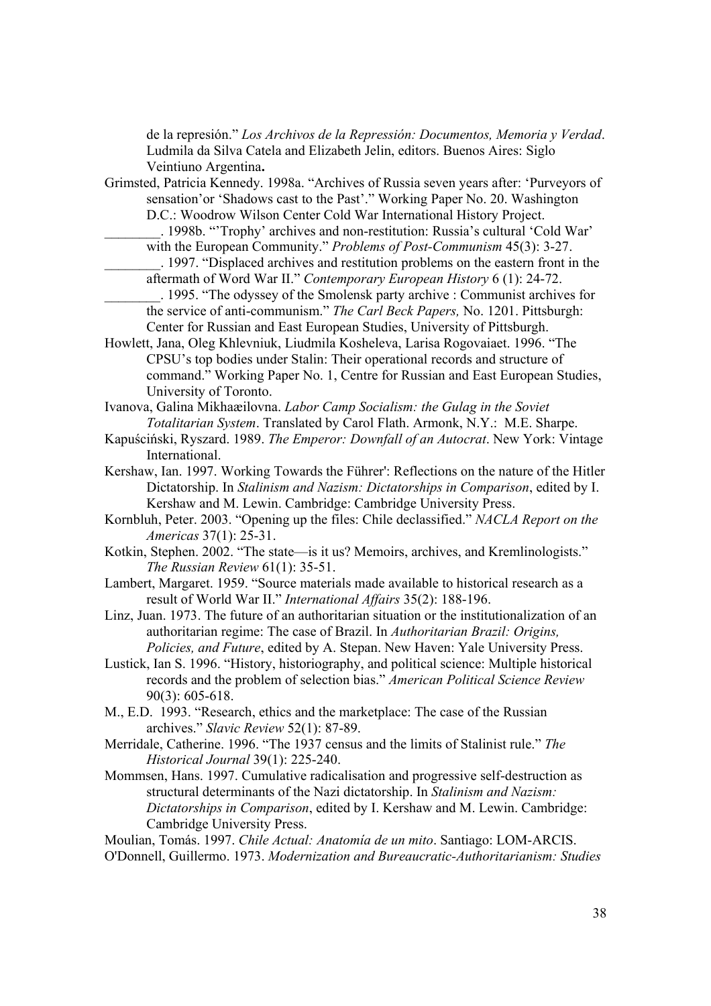de la represión." *Los Archivos de la Repressión: Documentos, Memoria y Verdad*. Ludmila da Silva Catela and Elizabeth Jelin, editors. Buenos Aires: Siglo Veintiuno Argentina**.**

- Grimsted, Patricia Kennedy. 1998a. "Archives of Russia seven years after: 'Purveyors of sensation'or 'Shadows cast to the Past'." Working Paper No. 20. Washington D.C.: Woodrow Wilson Center Cold War International History Project.
	- \_\_\_\_\_\_\_\_. 1998b. "'Trophy' archives and non-restitution: Russia's cultural 'Cold War' with the European Community." *Problems of Post-Communism* 45(3): 3-27.
	- \_\_\_\_\_\_\_\_. 1997. "Displaced archives and restitution problems on the eastern front in the aftermath of Word War II." *Contemporary European History* 6 (1): 24-72.
- \_\_\_\_\_\_\_\_. 1995. "The odyssey of the Smolensk party archive : Communist archives for the service of anti-communism." *The Carl Beck Papers,* No. 1201. Pittsburgh: Center for Russian and East European Studies, University of Pittsburgh.
- Howlett, Jana, Oleg Khlevniuk, Liudmila Kosheleva, Larisa Rogovaiaet. 1996. "The CPSU's top bodies under Stalin: Their operational records and structure of command." Working Paper No. 1, Centre for Russian and East European Studies, University of Toronto.
- Ivanova, Galina Mikhaæilovna. *Labor Camp Socialism: the Gulag in the Soviet Totalitarian System*. Translated by Carol Flath. Armonk, N.Y.: M.E. Sharpe.
- Kapuściński, Ryszard. 1989. *The Emperor: Downfall of an Autocrat*. New York: Vintage International.
- Kershaw, Ian. 1997. Working Towards the Führer': Reflections on the nature of the Hitler Dictatorship. In *Stalinism and Nazism: Dictatorships in Comparison*, edited by I. Kershaw and M. Lewin. Cambridge: Cambridge University Press.
- Kornbluh, Peter. 2003. "Opening up the files: Chile declassified." *NACLA Report on the Americas* 37(1): 25-31.
- Kotkin, Stephen. 2002. "The state—is it us? Memoirs, archives, and Kremlinologists." *The Russian Review* 61(1): 35-51.
- Lambert, Margaret. 1959. "Source materials made available to historical research as a result of World War II." *International Affairs* 35(2): 188-196.
- Linz, Juan. 1973. The future of an authoritarian situation or the institutionalization of an authoritarian regime: The case of Brazil. In *Authoritarian Brazil: Origins, Policies, and Future*, edited by A. Stepan. New Haven: Yale University Press.
- Lustick, Ian S. 1996. "History, historiography, and political science: Multiple historical records and the problem of selection bias." *American Political Science Review* 90(3): 605-618.
- M., E.D. 1993. "Research, ethics and the marketplace: The case of the Russian archives." *Slavic Review* 52(1): 87-89.
- Merridale, Catherine. 1996. "The 1937 census and the limits of Stalinist rule." *The Historical Journal* 39(1): 225-240.
- Mommsen, Hans. 1997. Cumulative radicalisation and progressive self-destruction as structural determinants of the Nazi dictatorship. In *Stalinism and Nazism: Dictatorships in Comparison*, edited by I. Kershaw and M. Lewin. Cambridge: Cambridge University Press.

Moulian, Tomás. 1997. *Chile Actual: Anatomía de un mito*. Santiago: LOM-ARCIS. O'Donnell, Guillermo. 1973. *Modernization and Bureaucratic-Authoritarianism: Studies*